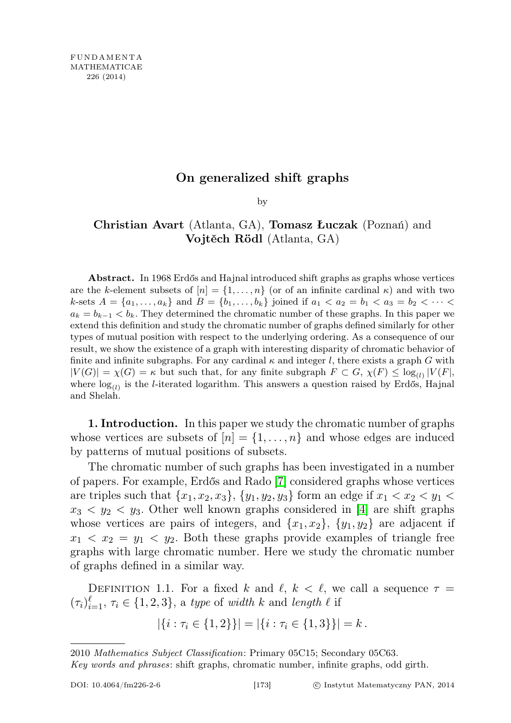## On generalized shift graphs

by

## Christian Avart (Atlanta, GA), Tomasz Łuczak (Poznań) and Vojtěch Rödl (Atlanta, GA)

Abstract. In 1968 Erdős and Hajnal introduced shift graphs as graphs whose vertices are the k-element subsets of  $[n] = \{1, \ldots, n\}$  (or of an infinite cardinal  $\kappa$ ) and with two k-sets  $A = \{a_1, \ldots, a_k\}$  and  $B = \{b_1, \ldots, b_k\}$  joined if  $a_1 < a_2 = b_1 < a_3 = b_2 < \cdots <$  $a_k = b_{k-1} < b_k$ . They determined the chromatic number of these graphs. In this paper we extend this definition and study the chromatic number of graphs defined similarly for other types of mutual position with respect to the underlying ordering. As a consequence of our result, we show the existence of a graph with interesting disparity of chromatic behavior of finite and infinite subgraphs. For any cardinal  $\kappa$  and integer l, there exists a graph G with  $|V(G)| = \chi(G) = \kappa$  but such that, for any finite subgraph  $F \subset G$ ,  $\chi(F) \leq \log_{(1)} |V(F)|$ , where  $log_{(l)}$  is the *l*-iterated logarithm. This answers a question raised by Erdős, Hajnal and Shelah.

1. Introduction. In this paper we study the chromatic number of graphs whose vertices are subsets of  $[n] = \{1, \ldots, n\}$  and whose edges are induced by patterns of mutual positions of subsets.

The chromatic number of such graphs has been investigated in a number of papers. For example, Erdős and Rado [\[7\]](#page-25-0) considered graphs whose vertices are triples such that  $\{x_1, x_2, x_3\}, \{y_1, y_2, y_3\}$  form an edge if  $x_1 < x_2 < y_1 <$  $x_3 \leq y_2 \leq y_3$ . Other well known graphs considered in [\[4\]](#page-25-1) are shift graphs whose vertices are pairs of integers, and  $\{x_1, x_2\}$ ,  $\{y_1, y_2\}$  are adjacent if  $x_1 \leq x_2 = y_1 \leq y_2$ . Both these graphs provide examples of triangle free graphs with large chromatic number. Here we study the chromatic number of graphs defined in a similar way.

DEFINITION 1.1. For a fixed k and  $\ell, k < \ell$ , we call a sequence  $\tau =$  $(\tau_i)_{i=1}^{\ell}, \tau_i \in \{1, 2, 3\},$  a type of width k and length  $\ell$  if

$$
|\{i : \tau_i \in \{1,2\}\}| = |\{i : \tau_i \in \{1,3\}\}| = k.
$$

<sup>2010</sup> Mathematics Subject Classification: Primary 05C15; Secondary 05C63.

Key words and phrases: shift graphs, chromatic number, infinite graphs, odd girth.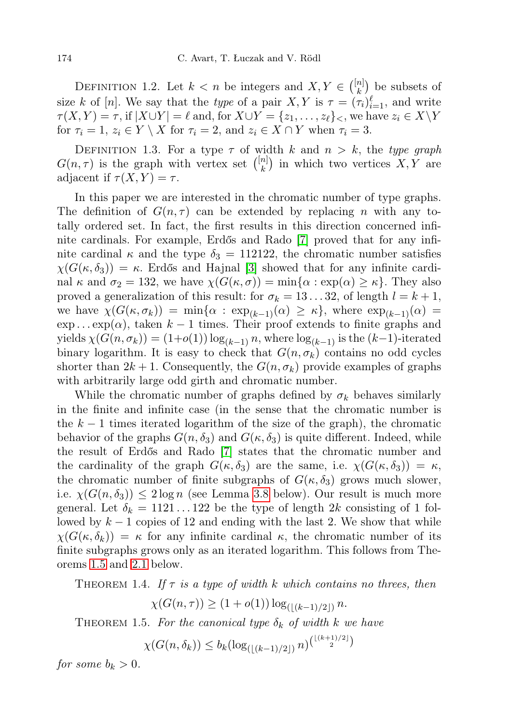DEFINITION 1.2. Let  $k < n$  be integers and  $X, Y \in \binom{[n]}{k}$  $\binom{n}{k}$  be subsets of size k of [n]. We say that the type of a pair  $X, Y$  is  $\tau = (\tau_i)_{i=1}^{\ell}$ , and write  $\tau(X, Y) = \tau$ , if  $|X \cup Y| = \ell$  and, for  $X \cup Y = \{z_1, \ldots, z_\ell\}_\leq$ , we have  $z_i \in X\backslash Y$ for  $\tau_i = 1, z_i \in Y \setminus X$  for  $\tau_i = 2$ , and  $z_i \in X \cap Y$  when  $\tau_i = 3$ .

DEFINITION 1.3. For a type  $\tau$  of width k and  $n > k$ , the type graph  $G(n, \tau)$  is the graph with vertex set  $\binom{[n]}{k}$  $\binom{n}{k}$  in which two vertices  $X, Y$  are adjacent if  $\tau(X, Y) = \tau$ .

In this paper we are interested in the chromatic number of type graphs. The definition of  $G(n, \tau)$  can be extended by replacing n with any totally ordered set. In fact, the first results in this direction concerned infinite cardinals. For example, Erdős and Rado [\[7\]](#page-25-0) proved that for any infinite cardinal  $\kappa$  and the type  $\delta_3 = 112122$ , the chromatic number satisfies  $\chi(G(\kappa, \delta_3)) = \kappa$ . Erdős and Hajnal [\[3\]](#page-25-2) showed that for any infinite cardinal  $\kappa$  and  $\sigma_2 = 132$ , we have  $\chi(G(\kappa, \sigma)) = \min{\alpha : \exp(\alpha) \geq \kappa}.$  They also proved a generalization of this result: for  $\sigma_k = 13...32$ , of length  $l = k + 1$ , we have  $\chi(G(\kappa,\sigma_k)) = \min{\alpha : \exp_{(k-1)}(\alpha) \geq \kappa}$ , where  $\exp_{(k-1)}(\alpha) =$  $\exp \ldots \exp(\alpha)$ , taken  $k-1$  times. Their proof extends to finite graphs and yields  $\chi(G(n, \sigma_k)) = (1+o(1)) \log_{(k-1)} n$ , where  $\log_{(k-1)}$  is the  $(k-1)$ -iterated binary logarithm. It is easy to check that  $G(n, \sigma_k)$  contains no odd cycles shorter than  $2k + 1$ . Consequently, the  $G(n, \sigma_k)$  provide examples of graphs with arbitrarily large odd girth and chromatic number.

While the chromatic number of graphs defined by  $\sigma_k$  behaves similarly in the finite and infinite case (in the sense that the chromatic number is the  $k-1$  times iterated logarithm of the size of the graph), the chromatic behavior of the graphs  $G(n, \delta_3)$  and  $G(\kappa, \delta_3)$  is quite different. Indeed, while the result of Erdős and Rado [\[7\]](#page-25-0) states that the chromatic number and the cardinality of the graph  $G(\kappa, \delta_3)$  are the same, i.e.  $\chi(G(\kappa, \delta_3)) = \kappa$ , the chromatic number of finite subgraphs of  $G(\kappa, \delta_3)$  grows much slower, i.e.  $\chi(G(n, \delta_3)) \leq 2 \log n$  (see Lemma [3.8](#page-7-0) below). Our result is much more general. Let  $\delta_k = 1121 \dots 122$  be the type of length 2k consisting of 1 followed by  $k-1$  copies of 12 and ending with the last 2. We show that while  $\chi(G(\kappa,\delta_k)) = \kappa$  for any infinite cardinal  $\kappa$ , the chromatic number of its finite subgraphs grows only as an iterated logarithm. This follows from Theorems [1.5](#page-1-0) and [2.1](#page-2-0) below.

<span id="page-1-1"></span>THEOREM 1.4. If  $\tau$  is a type of width k which contains no threes, then

$$
\chi(G(n,\tau)) \ge (1 + o(1)) \log_{(|(k-1)/2|)} n.
$$

<span id="page-1-0"></span>THEOREM 1.5. For the canonical type  $\delta_k$  of width k we have

$$
\chi(G(n,\delta_k)) \le b_k (\log_{(\lfloor (k-1)/2 \rfloor)} n)^{\binom{\lfloor (k+1)/2 \rfloor}{2}}
$$

for some  $b_k > 0$ .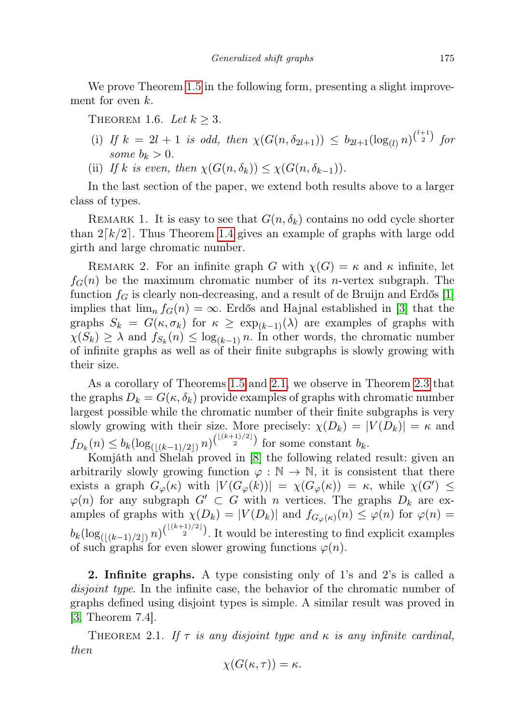We prove Theorem [1.5](#page-1-0) in the following form, presenting a slight improvement for even k.

<span id="page-2-1"></span>THEOREM 1.6. Let  $k \geq 3$ .

- (i) If  $k = 2l + 1$  is odd, then  $\chi(G(n, \delta_{2l+1})) \leq b_{2l+1}(\log_{(l)} n)^{\binom{l+1}{2}}$  for some  $b_k > 0$ .
- (ii) If k is even, then  $\chi(G(n, \delta_k)) \leq \chi(G(n, \delta_{k-1}))$ .

In the last section of the paper, we extend both results above to a larger class of types.

REMARK 1. It is easy to see that  $G(n, \delta_k)$  contains no odd cycle shorter than  $2[k/2]$ . Thus Theorem [1.4](#page-1-1) gives an example of graphs with large odd girth and large chromatic number.

REMARK 2. For an infinite graph G with  $\chi(G) = \kappa$  and  $\kappa$  infinite, let  $f<sub>G</sub>(n)$  be the maximum chromatic number of its *n*-vertex subgraph. The function  $f_G$  is clearly non-decreasing, and a result of de Bruijn and Erdős [\[1\]](#page-25-3) implies that  $\lim_{n} f_G(n) = \infty$ . Erdős and Hajnal established in [\[3\]](#page-25-2) that the graphs  $S_k = G(\kappa, \sigma_k)$  for  $\kappa \geq \exp_{k-1}(\lambda)$  are examples of graphs with  $\chi(S_k) \geq \lambda$  and  $f_{S_k}(n) \leq \log_{(k-1)} n$ . In other words, the chromatic number of infinite graphs as well as of their finite subgraphs is slowly growing with their size.

As a corollary of Theorems [1.5](#page-1-0) and [2.1,](#page-2-0) we observe in Theorem [2.3](#page-4-0) that the graphs  $D_k = G(\kappa, \delta_k)$  provide examples of graphs with chromatic number largest possible while the chromatic number of their finite subgraphs is very slowly growing with their size. More precisely:  $\chi(D_k) = |V(D_k)| = \kappa$  and  $f_{D_k}(n) \leq b_k (\log_{(\lfloor (k-1)/2 \rfloor)} n)^{\binom{\lfloor (k+1)/2 \rfloor}{2}}$  for some constant  $b_k$ .

Komjáth and Shelah proved in [\[8\]](#page-25-4) the following related result: given an arbitrarily slowly growing function  $\varphi : \mathbb{N} \to \mathbb{N}$ , it is consistent that there exists a graph  $G_{\varphi}(\kappa)$  with  $|V(G_{\varphi}(k))| = \chi(G_{\varphi}(\kappa)) = \kappa$ , while  $\chi(G') \leq$  $\varphi(n)$  for any subgraph  $G' \subset G$  with n vertices. The graphs  $D_k$  are examples of graphs with  $\chi(D_k) = |V(D_k)|$  and  $f_{G_{\varphi}(\kappa)}(n) \leq \varphi(n)$  for  $\varphi(n) =$  $b_k(\log_{(\lfloor (k-1)/2 \rfloor)} n)^{\binom{\lfloor (k+1)/2 \rfloor}{2}}$ . It would be interesting to find explicit examples of such graphs for even slower growing functions  $\varphi(n)$ .

2. Infinite graphs. A type consisting only of 1's and 2's is called a disjoint type. In the infinite case, the behavior of the chromatic number of graphs defined using disjoint types is simple. A similar result was proved in [\[3,](#page-25-2) Theorem 7.4].

<span id="page-2-0"></span>THEOREM 2.1. If  $\tau$  is any disjoint type and  $\kappa$  is any infinite cardinal, then

$$
\chi(G(\kappa,\tau))=\kappa.
$$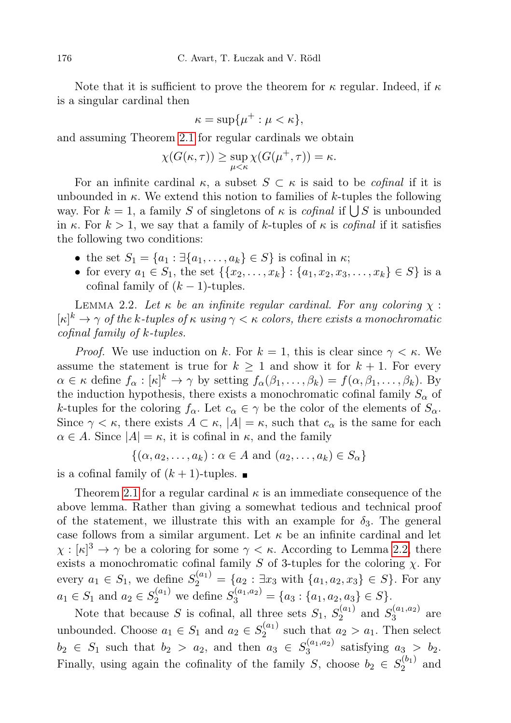Note that it is sufficient to prove the theorem for  $\kappa$  regular. Indeed, if  $\kappa$ is a singular cardinal then

$$
\kappa = \sup \{ \mu^+ : \mu < \kappa \},
$$

and assuming Theorem [2.1](#page-2-0) for regular cardinals we obtain

$$
\chi(G(\kappa,\tau)) \ge \sup_{\mu < \kappa} \chi(G(\mu^+,\tau)) = \kappa.
$$

For an infinite cardinal  $\kappa$ , a subset  $S \subset \kappa$  is said to be *cofinal* if it is unbounded in  $\kappa$ . We extend this notion to families of k-tuples the following way. For  $k = 1$ , a family S of singletons of  $\kappa$  is *cofinal* if  $\bigcup S$  is unbounded in  $\kappa$ . For  $k > 1$ , we say that a family of k-tuples of  $\kappa$  is *cofinal* if it satisfies the following two conditions:

- the set  $S_1 = \{a_1 : \exists \{a_1, \ldots, a_k\} \in S\}$  is cofinal in  $\kappa$ ;
- for every  $a_1 \in S_1$ , the set  $\{\{x_2, \ldots, x_k\} : \{a_1, x_2, x_3, \ldots, x_k\} \in S\}$  is a cofinal family of  $(k-1)$ -tuples.

<span id="page-3-0"></span>LEMMA 2.2. Let  $\kappa$  be an infinite regular cardinal. For any coloring  $\chi$ :  $[\kappa]^k \to \gamma$  of the k-tuples of  $\kappa$  using  $\gamma < \kappa$  colors, there exists a monochromatic cofinal family of k-tuples.

*Proof.* We use induction on k. For  $k = 1$ , this is clear since  $\gamma < \kappa$ . We assume the statement is true for  $k \geq 1$  and show it for  $k + 1$ . For every  $\alpha \in \kappa$  define  $f_{\alpha} : [\kappa]^k \to \gamma$  by setting  $f_{\alpha}(\beta_1, \ldots, \beta_k) = f(\alpha, \beta_1, \ldots, \beta_k)$ . By the induction hypothesis, there exists a monochromatic cofinal family  $S_{\alpha}$  of k-tuples for the coloring  $f_{\alpha}$ . Let  $c_{\alpha} \in \gamma$  be the color of the elements of  $S_{\alpha}$ . Since  $\gamma < \kappa$ , there exists  $A \subset \kappa$ ,  $|A| = \kappa$ , such that  $c_{\alpha}$  is the same for each  $\alpha \in A$ . Since  $|A| = \kappa$ , it is cofinal in  $\kappa$ , and the family

$$
\{(\alpha, a_2, \dots, a_k) : \alpha \in A \text{ and } (a_2, \dots, a_k) \in S_\alpha\}
$$

is a cofinal family of  $(k + 1)$ -tuples.

Theorem [2.1](#page-2-0) for a regular cardinal  $\kappa$  is an immediate consequence of the above lemma. Rather than giving a somewhat tedious and technical proof of the statement, we illustrate this with an example for  $\delta_3$ . The general case follows from a similar argument. Let  $\kappa$  be an infinite cardinal and let  $\chi : [\kappa]^3 \to \gamma$  be a coloring for some  $\gamma < \kappa$ . According to Lemma [2.2,](#page-3-0) there exists a monochromatic cofinal family S of 3-tuples for the coloring  $\chi$ . For every  $a_1 \in S_1$ , we define  $S_2^{(a_1)} = \{a_2 : \exists x_3 \text{ with } \{a_1, a_2, x_3\} \in S\}$ . For any  $a_1 \in S_1$  and  $a_2 \in S_2^{(a_1)}$  we define  $S_3^{(a_1,a_2)} = \{a_3 : \{a_1, a_2, a_3\} \in S\}.$ 

Note that because S is cofinal, all three sets  $S_1, S_2^{(a_1)}$  $S_3^{(a_1,a_2)}$  and  $S_3^{(a_1,a_2)}$  $a_3^{(a_1,a_2)}$  are unbounded. Choose  $a_1 \in S_1$  and  $a_2 \in S_2^{(a_1)}$  $a_2^{(a_1)}$  such that  $a_2 > a_1$ . Then select  $b_2 \in S_1$  such that  $b_2 > a_2$ , and then  $a_3 \in S_3^{(a_1,a_2)}$  $a_3^{(a_1,a_2)}$  satisfying  $a_3 > b_2$ . Finally, using again the cofinality of the family S, choose  $b_2 \in S_2^{(b_1)}$  $\frac{1}{2}^{\left(01\right)}$  and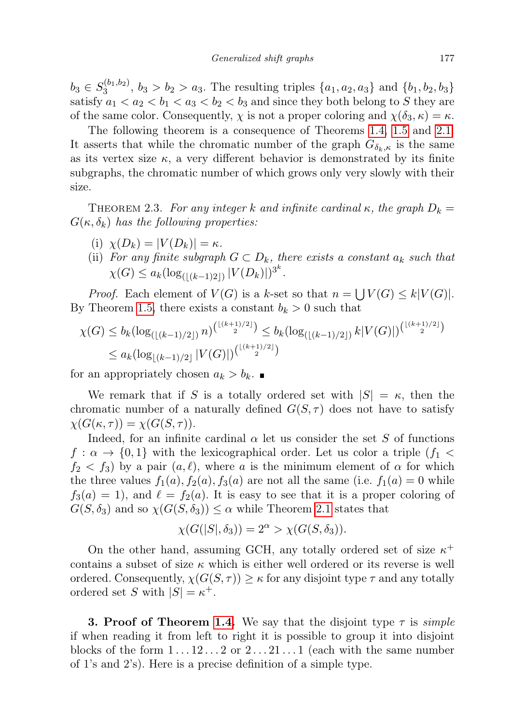$b_3 \in S_3^{(b_1,b_2)}$  $\{a_1, a_2, a_3\}$  and  $\{b_1, b_2, b_3\}$ satisfy  $a_1 < a_2 < b_1 < a_3 < b_2 < b_3$  and since they both belong to S they are of the same color. Consequently,  $\chi$  is not a proper coloring and  $\chi(\delta_3, \kappa) = \kappa$ .

The following theorem is a consequence of Theorems [1.4,](#page-1-1) [1.5](#page-1-0) and [2.1.](#page-2-0) It asserts that while the chromatic number of the graph  $G_{\delta_k,\kappa}$  is the same as its vertex size  $\kappa$ , a very different behavior is demonstrated by its finite subgraphs, the chromatic number of which grows only very slowly with their size.

<span id="page-4-0"></span>THEOREM 2.3. For any integer k and infinite cardinal  $\kappa$ , the graph  $D_k =$  $G(\kappa, \delta_k)$  has the following properties:

- (i)  $\chi(D_k) = |V(D_k)| = \kappa$ .
- (ii) For any finite subgraph  $G \subset D_k$ , there exists a constant  $a_k$  such that  $\chi(G) \leq a_k (\log_{(\lfloor (k-1)2 \rfloor)} |V(D_k)|)^{3^k}.$

*Proof.* Each element of  $V(G)$  is a k-set so that  $n = \bigcup V(G) \leq k|V(G)|$ . By Theorem [1.5,](#page-1-0) there exists a constant  $b_k > 0$  such that

$$
\chi(G) \le b_k (\log_{(\lfloor (k-1)/2 \rfloor)} n)^{\binom{\lfloor (k+1)/2 \rfloor}{2}} \le b_k (\log_{(\lfloor (k-1)/2 \rfloor)} k |V(G)|)^{\binom{\lfloor (k+1)/2 \rfloor}{2}}
$$
  

$$
\le a_k (\log_{\lfloor (k-1)/2 \rfloor} |V(G)|)^{\binom{\lfloor (k+1)/2 \rfloor}{2}}
$$

for an appropriately chosen  $a_k > b_k$ .

We remark that if S is a totally ordered set with  $|S| = \kappa$ , then the chromatic number of a naturally defined  $G(S, \tau)$  does not have to satisfy  $\chi(G(\kappa,\tau))=\chi(G(S,\tau)).$ 

Indeed, for an infinite cardinal  $\alpha$  let us consider the set S of functions  $f: \alpha \to \{0,1\}$  with the lexicographical order. Let us color a triple  $(f_1 \lt f_2)$  $f_2 < f_3$ ) by a pair  $(a, \ell)$ , where a is the minimum element of  $\alpha$  for which the three values  $f_1(a)$ ,  $f_2(a)$ ,  $f_3(a)$  are not all the same (i.e.  $f_1(a) = 0$  while  $f_3(a) = 1$ , and  $\ell = f_2(a)$ . It is easy to see that it is a proper coloring of  $G(S, \delta_3)$  and so  $\chi(G(S, \delta_3)) \leq \alpha$  while Theorem [2.1](#page-2-0) states that

$$
\chi(G(|S|, \delta_3)) = 2^{\alpha} > \chi(G(S, \delta_3)).
$$

On the other hand, assuming GCH, any totally ordered set of size  $\kappa^+$ contains a subset of size  $\kappa$  which is either well ordered or its reverse is well ordered. Consequently,  $\chi(G(S,\tau)) \geq \kappa$  for any disjoint type  $\tau$  and any totally ordered set S with  $|S| = \kappa^+$ .

**3. Proof of Theorem [1.4.](#page-1-1)** We say that the disjoint type  $\tau$  is *simple* if when reading it from left to right it is possible to group it into disjoint blocks of the form  $1 \dots 12 \dots 2$  or  $2 \dots 21 \dots 1$  (each with the same number of 1's and 2's). Here is a precise definition of a simple type.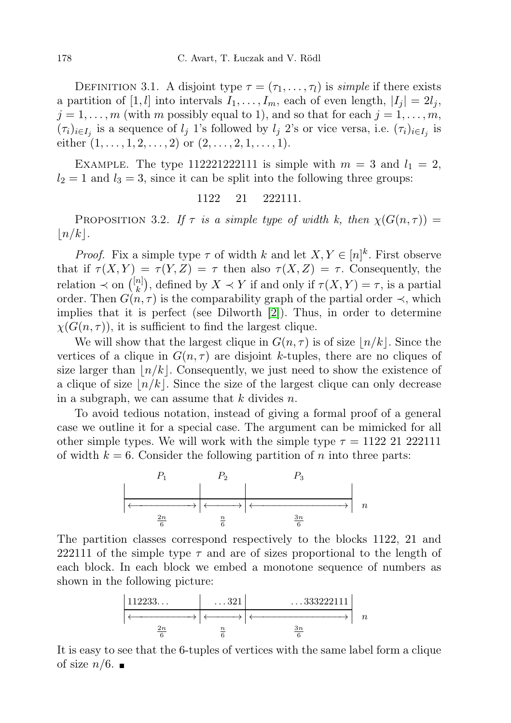DEFINITION 3.1. A disjoint type  $\tau = (\tau_1, \ldots, \tau_l)$  is simple if there exists a partition of [1, *l*] into intervals  $I_1, \ldots, I_m$ , each of even length,  $|I_j| = 2l_j$ ,  $j = 1, \ldots, m$  (with m possibly equal to 1), and so that for each  $j = 1, \ldots, m$ ,  $(\tau_i)_{i \in I_j}$  is a sequence of  $l_j$  1's followed by  $l_j$  2's or vice versa, i.e.  $(\tau_i)_{i \in I_j}$  is either  $(1, \ldots, 1, 2, \ldots, 2)$  or  $(2, \ldots, 2, 1, \ldots, 1)$ .

EXAMPLE. The type 112221222111 is simple with  $m = 3$  and  $l_1 = 2$ ,  $l_2 = 1$  and  $l_3 = 3$ , since it can be split into the following three groups:

## 1122 21 222111.

<span id="page-5-0"></span>PROPOSITION 3.2. If  $\tau$  is a simple type of width k, then  $\chi(G(n,\tau)) =$  $\lfloor n/k \rfloor$ .

*Proof.* Fix a simple type  $\tau$  of width k and let  $X, Y \in [n]^k$ . First observe that if  $\tau(X, Y) = \tau(Y, Z) = \tau$  then also  $\tau(X, Z) = \tau$ . Consequently, the relation  $\prec$  on  $\binom{[n]}{k}$  ${k \choose k}$ , defined by  $X \prec Y$  if and only if  $\tau(X, Y) = \tau$ , is a partial order. Then  $G(n, \tau)$  is the comparability graph of the partial order  $\prec$ , which implies that it is perfect (see Dilworth [\[2\]](#page-25-5)). Thus, in order to determine  $\chi(G(n,\tau))$ , it is sufficient to find the largest clique.

We will show that the largest clique in  $G(n, \tau)$  is of size  $\lfloor n/k \rfloor$ . Since the vertices of a clique in  $G(n, \tau)$  are disjoint k-tuples, there are no cliques of size larger than  $\lfloor n/k \rfloor$ . Consequently, we just need to show the existence of a clique of size  $n/k$ . Since the size of the largest clique can only decrease in a subgraph, we can assume that  $k$  divides  $n$ .

To avoid tedious notation, instead of giving a formal proof of a general case we outline it for a special case. The argument can be mimicked for all other simple types. We will work with the simple type  $\tau = 1122$  21 222111 of width  $k = 6$ . Consider the following partition of n into three parts:



The partition classes correspond respectively to the blocks 1122, 21 and 222111 of the simple type  $\tau$  and are of sizes proportional to the length of each block. In each block we embed a monotone sequence of numbers as shown in the following picture:

$$
\left|\n \begin{array}{ccc}\n 112233\dots & \dots & 321 \\
 \hline\n & & & \\
 \hline\n & & & \\
 \hline\n & & & \\
 \hline\n & & & \\
 \hline\n & & & \\
 \hline\n & & & \\
 \hline\n & & & \\
 \hline\n & & & \\
 \hline\n & & & \\
 \hline\n & & & \\
 \hline\n & & & \\
 \hline\n & & & \\
 \hline\n & & & \\
 \hline\n & & & \\
 \hline\n & & & \\
 \hline\n & & & \\
 \hline\n & & & \\
 \hline\n & & & \\
 \hline\n & & & \\
 \hline\n & & & \\
 \hline\n & & & \\
 \hline\n & & & \\
 \hline\n & & & \\
 \hline\n & & & \\
 \hline\n & & & \\
 \hline\n & & & \\
 \hline\n & & & \\
 \hline\n & & & \\
 \hline\n & & & \\
 \hline\n & & & \\
 \hline\n & & & \\
 \hline\n & & & \\
 \hline\n & & & \\
 \hline\n & & & \\
 \hline\n & & & \\
 \hline\n & & & \\
 \hline\n & & & \\
 \hline\n & & & & \\
 \hline\n & & & & \\
 \hline\n & & & & \\
 \hline\n & & & & \\
 \hline\n & & & & \\
 \hline\n & & & & \\
 \hline\n & & & & \\
 \hline\n & & & & \\
 \hline\n & & & & \\
 \hline\n & & & & \\
 \hline\n & & & & \\
 \hline\n & & & & \\
 \hline\n & &
$$

It is easy to see that the 6-tuples of vertices with the same label form a clique of size  $n/6$ .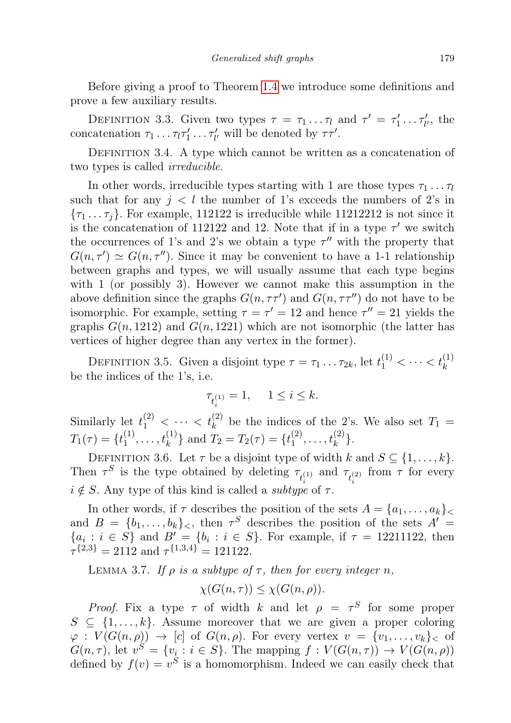Before giving a proof to Theorem [1.4](#page-1-1) we introduce some definitions and prove a few auxiliary results.

DEFINITION 3.3. Given two types  $\tau = \tau_1 \dots \tau_l$  and  $\tau' = \tau'_1 \dots \tau'_{l'}$ , the concatenation  $\tau_1 \dots \tau_l \tau'_1 \dots \tau'_{l'}$  will be denoted by  $\tau \tau'$ .

DEFINITION 3.4. A type which cannot be written as a concatenation of two types is called *irreducible*.

In other words, irreducible types starting with 1 are those types  $\tau_1 \dots \tau_l$ such that for any  $j < l$  the number of 1's exceeds the numbers of 2's in  ${\tau_1 \dots \tau_j}$ . For example, 112122 is irreducible while 11212212 is not since it is the concatenation of 112122 and 12. Note that if in a type  $\tau'$  we switch the occurrences of 1's and 2's we obtain a type  $\tau''$  with the property that  $G(n, \tau') \simeq G(n, \tau'')$ . Since it may be convenient to have a 1-1 relationship between graphs and types, we will usually assume that each type begins with 1 (or possibly 3). However we cannot make this assumption in the above definition since the graphs  $G(n, \tau \tau')$  and  $G(n, \tau \tau'')$  do not have to be isomorphic. For example, setting  $\tau = \tau' = 12$  and hence  $\tau'' = 21$  yields the graphs  $G(n, 1212)$  and  $G(n, 1221)$  which are not isomorphic (the latter has vertices of higher degree than any vertex in the former).

DEFINITION 3.5. Given a disjoint type  $\tau = \tau_1 \dots \tau_{2k}$ , let  $t_1^{(1)} < \dots < t_k^{(1)}$ be the indices of the 1's, i.e.

$$
\tau_{t_i^{(1)}}=1,\quad \ 1\leq i\leq k.
$$

Similarly let  $t_1^{(2)}$  <  $\cdots$  <  $t_k^{(2)}$  be the indices of the 2's. We also set  $T_1$  =  $T_1(\tau) = \{t_1^{(1)}\}$  $\{t_1^{(1)}, \ldots, t_k^{(1)}\}$  and  $T_2 = T_2(\tau) = \{t_1^{(2)}\}$  $t_1^{(2)}, \ldots, t_k^{(2)}\}.$ 

DEFINITION 3.6. Let  $\tau$  be a disjoint type of width k and  $S \subseteq \{1, \ldots, k\}$ . Then  $\tau^S$  is the type obtained by deleting  $\tau_{t_i^{(1)}}$  and  $\tau_{t_i^{(2)}}$  from  $\tau$  for every  $i \notin S$ . Any type of this kind is called a *subtype* of  $\tau$ .

In other words, if  $\tau$  describes the position of the sets  $A = \{a_1, \ldots, a_k\}_<$ and  $B = \{b_1, \ldots, b_k\}_\lt$ , then  $\tau^S$  describes the position of the sets  $A' =$  ${a_i : i \in S}$  and  $B' = {b_i : i \in S}$ . For example, if  $\tau = 12211122$ , then  $\tau^{\{2,3\}} = 2112$  and  $\tau^{\{1,3,4\}} = 121122$ .

<span id="page-6-0"></span>LEMMA 3.7. If  $\rho$  is a subtype of  $\tau$ , then for every integer n,

$$
\chi(G(n,\tau)) \leq \chi(G(n,\rho)).
$$

*Proof.* Fix a type  $\tau$  of width k and let  $\rho = \tau^S$  for some proper  $S \subseteq \{1, \ldots, k\}$ . Assume moreover that we are given a proper coloring  $\varphi: V(G(n,\rho)) \to [c]$  of  $G(n,\rho)$ . For every vertex  $v = \{v_1, \ldots, v_k\}_\mathcal{S}$  of  $G(n,\tau)$ , let  $v^S = \{v_i : i \in S\}$ . The mapping  $f : V(G(n,\tau)) \to V(G(n,\rho))$ defined by  $f(v) = v^S$  is a homomorphism. Indeed we can easily check that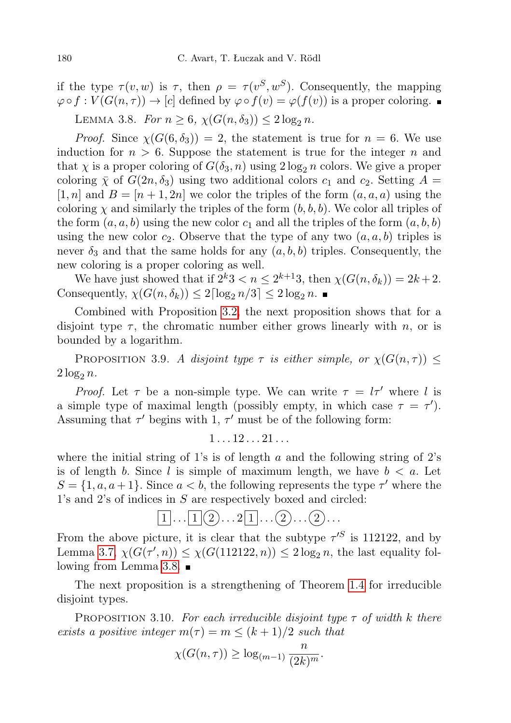if the type  $\tau(v, w)$  is  $\tau$ , then  $\rho = \tau(v^S, w^S)$ . Consequently, the mapping  $\varphi \circ f : V(G(n, \tau)) \to [c]$  defined by  $\varphi \circ f(v) = \varphi(f(v))$  is a proper coloring.

<span id="page-7-0"></span>LEMMA 3.8. For  $n \ge 6$ ,  $\chi(G(n, \delta_3)) \le 2 \log_2 n$ .

*Proof.* Since  $\chi(G(6, \delta_3)) = 2$ , the statement is true for  $n = 6$ . We use induction for  $n > 6$ . Suppose the statement is true for the integer n and that  $\chi$  is a proper coloring of  $G(\delta_3, n)$  using  $2 \log_2 n$  colors. We give a proper coloring  $\bar{\chi}$  of  $G(2n, \delta_3)$  using two additional colors  $c_1$  and  $c_2$ . Setting  $A =$  $[1, n]$  and  $B = [n + 1, 2n]$  we color the triples of the form  $(a, a, a)$  using the coloring  $\chi$  and similarly the triples of the form  $(b, b, b)$ . We color all triples of the form  $(a, a, b)$  using the new color  $c_1$  and all the triples of the form  $(a, b, b)$ using the new color  $c_2$ . Observe that the type of any two  $(a, a, b)$  triples is never  $\delta_3$  and that the same holds for any  $(a, b, b)$  triples. Consequently, the new coloring is a proper coloring as well.

We have just showed that if  $2^k 3 < n \leq 2^{k+1} 3$ , then  $\chi(G(n, \delta_k)) = 2k + 2$ . Consequently,  $\chi(G(n, \delta_k)) \leq 2\lceil \log_2 n/3 \rceil \leq 2\log_2 n$ .

Combined with Proposition [3.2,](#page-5-0) the next proposition shows that for a disjoint type  $\tau$ , the chromatic number either grows linearly with n, or is bounded by a logarithm.

PROPOSITION 3.9. A disjoint type  $\tau$  is either simple, or  $\chi(G(n,\tau)) \leq$  $2 \log_2 n$ .

*Proof.* Let  $\tau$  be a non-simple type. We can write  $\tau = l\tau'$  where l is a simple type of maximal length (possibly empty, in which case  $\tau = \tau'$ ). Assuming that  $\tau'$  begins with 1,  $\tau'$  must be of the following form:

$$
1 \ldots 12 \ldots 21 \ldots
$$

where the initial string of 1's is of length a and the following string of 2's is of length b. Since l is simple of maximum length, we have  $b < a$ . Let  $S = \{1, a, a+1\}$ . Since  $a < b$ , the following represents the type  $\tau'$  where the 1's and 2's of indices in S are respectively boxed and circled:

$$
[1]\dots[1] \bigcirc \dots 2[1]\dots \bigcirc \dots \bigcirc \dots
$$

From the above picture, it is clear that the subtype  $\tau^{\prime S}$  is 112122, and by Lemma [3.7,](#page-6-0)  $\chi(G(\tau', n)) \leq \chi(G(112122, n)) \leq 2 \log_2 n$ , the last equality following from Lemma [3.8.](#page-7-0)

The next proposition is a strengthening of Theorem [1.4](#page-1-1) for irreducible disjoint types.

<span id="page-7-1"></span>PROPOSITION 3.10. For each irreducible disjoint type  $\tau$  of width k there exists a positive integer  $m(\tau) = m \leq (k+1)/2$  such that

$$
\chi(G(n,\tau)) \ge \log_{(m-1)} \frac{n}{(2k)^m}.
$$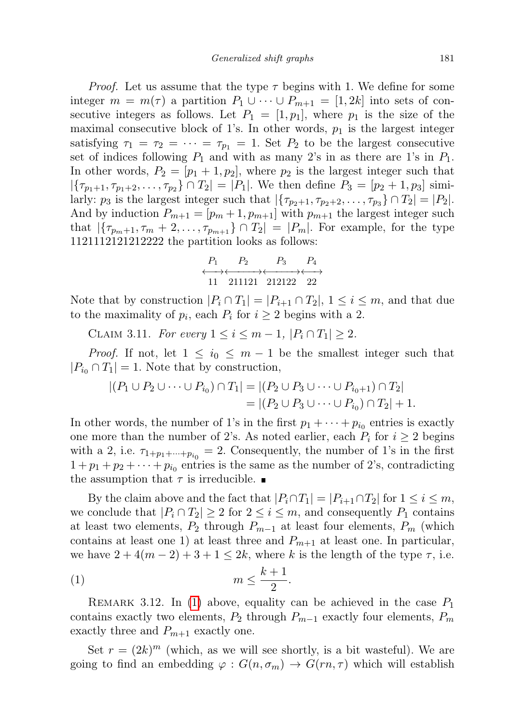*Proof.* Let us assume that the type  $\tau$  begins with 1. We define for some integer  $m = m(\tau)$  a partition  $P_1 \cup \cdots \cup P_{m+1} = [1, 2k]$  into sets of consecutive integers as follows. Let  $P_1 = [1, p_1]$ , where  $p_1$  is the size of the maximal consecutive block of 1's. In other words,  $p_1$  is the largest integer satisfying  $\tau_1 = \tau_2 = \cdots = \tau_{p_1} = 1$ . Set  $P_2$  to be the largest consecutive set of indices following  $P_1$  and with as many 2's in as there are 1's in  $P_1$ . In other words,  $P_2 = [p_1 + 1, p_2]$ , where  $p_2$  is the largest integer such that  $|\{\tau_{p_1+1}, \tau_{p_1+2}, \ldots, \tau_{p_2}\} \cap T_2| = |P_1|$ . We then define  $P_3 = [p_2+1, p_3]$  similarly:  $p_3$  is the largest integer such that  $|\{\tau_{p_2+1}, \tau_{p_2+2}, \ldots, \tau_{p_3}\} \cap T_2| = |P_2|$ . And by induction  $P_{m+1} = [p_m + 1, p_{m+1}]$  with  $p_{m+1}$  the largest integer such that  $|\{\tau_{p_m+1}, \tau_m + 2, \ldots, \tau_{p_{m+1}}\} \cap T_2| = |P_m|$ . For example, for the type 1121112121212222 the partition looks as follows:

$$
\begin{array}{ccc}\nP_1 & P_2 & P_3 & P_4 \\
\longleftrightarrow & \longleftrightarrow & \longleftrightarrow \\
11 & 211121 & 212122 & 22\n\end{array}
$$

Note that by construction  $|P_i \cap T_1| = |P_{i+1} \cap T_2|, 1 \leq i \leq m$ , and that due to the maximality of  $p_i$ , each  $P_i$  for  $i \geq 2$  begins with a 2.

CLAIM 3.11. For every  $1 \le i \le m-1$ ,  $|P_i \cap T_1| \ge 2$ .

*Proof.* If not, let  $1 \leq i_0 \leq m-1$  be the smallest integer such that  $|P_{i_0} \cap T_1| = 1$ . Note that by construction,

$$
|(P_1 \cup P_2 \cup \cdots \cup P_{i_0}) \cap T_1| = |(P_2 \cup P_3 \cup \cdots \cup P_{i_0+1}) \cap T_2|
$$
  
= |(P\_2 \cup P\_3 \cup \cdots \cup P\_{i\_0}) \cap T\_2| + 1.

In other words, the number of 1's in the first  $p_1 + \cdots + p_{i_0}$  entries is exactly one more than the number of 2's. As noted earlier, each  $P_i$  for  $i \geq 2$  begins with a 2, i.e.  $\tau_{1+p_1+\cdots+p_{i_0}} = 2$ . Consequently, the number of 1's in the first  $1+p_1+p_2+\cdots+p_{i_0}$  entries is the same as the number of 2's, contradicting the assumption that  $\tau$  is irreducible.

By the claim above and the fact that  $|P_i \cap T_1| = |P_{i+1} \cap T_2|$  for  $1 \leq i \leq m$ , we conclude that  $|P_i \cap T_2| \geq 2$  for  $2 \leq i \leq m$ , and consequently  $P_1$  contains at least two elements,  $P_2$  through  $P_{m-1}$  at least four elements,  $P_m$  (which contains at least one 1) at least three and  $P_{m+1}$  at least one. In particular, we have  $2 + 4(m - 2) + 3 + 1 \leq 2k$ , where k is the length of the type  $\tau$ , i.e.

<span id="page-8-0"></span>
$$
(1) \t\t\t m \leq \frac{k+1}{2}.
$$

<span id="page-8-1"></span>REMARK 3.12. In [\(1\)](#page-8-0) above, equality can be achieved in the case  $P_1$ contains exactly two elements,  $P_2$  through  $P_{m-1}$  exactly four elements,  $P_m$ exactly three and  $P_{m+1}$  exactly one.

Set  $r = (2k)^m$  (which, as we will see shortly, is a bit wasteful). We are going to find an embedding  $\varphi: G(n, \sigma_m) \to G(rn, \tau)$  which will establish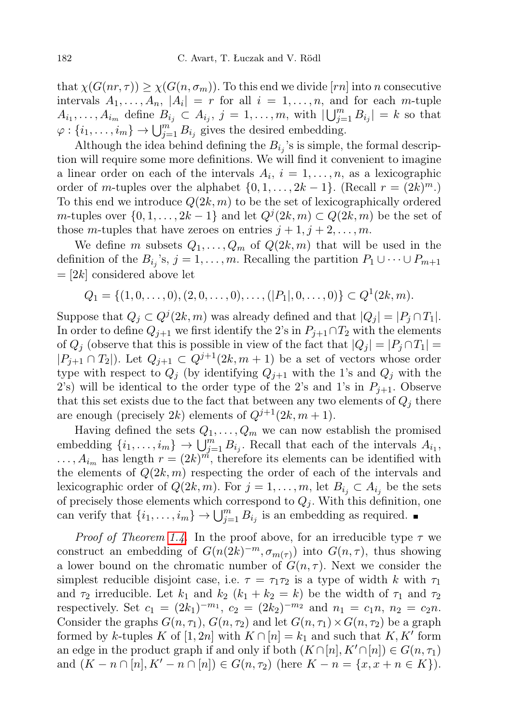that  $\chi(G(nr,\tau)) \geq \chi(G(n,\sigma_m))$ . To this end we divide [rn] into n consecutive intervals  $A_1, \ldots, A_n$ ,  $|A_i| = r$  for all  $i = 1, \ldots, n$ , and for each m-tuple  $A_{i_1}, \ldots, A_{i_m}$  define  $B_{i_j} \subset A_{i_j}, j = 1, \ldots, m$ , with  $|\bigcup_{j=1}^m B_{i_j}| = k$  so that  $\varphi: \{i_1, \ldots, i_m\} \to \bigcup_{j=1}^{m} B_{i_j}$  gives the desired embedding.

Although the idea behind defining the  $B_{i_j}$ 's is simple, the formal description will require some more definitions. We will find it convenient to imagine a linear order on each of the intervals  $A_i$ ,  $i = 1, \ldots, n$ , as a lexicographic order of m-tuples over the alphabet  $\{0, 1, \ldots, 2k-1\}$ . (Recall  $r = (2k)^m$ .) To this end we introduce  $Q(2k, m)$  to be the set of lexicographically ordered m-tuples over  $\{0, 1, \ldots, 2k-1\}$  and let  $Q^j(2k, m) \subset Q(2k, m)$  be the set of those m-tuples that have zeroes on entries  $j + 1, j + 2, \ldots, m$ .

We define m subsets  $Q_1, \ldots, Q_m$  of  $Q(2k, m)$  that will be used in the definition of the  $B_{i_j}$ 's,  $j = 1, \ldots, m$ . Recalling the partition  $P_1 \cup \cdots \cup P_{m+1}$  $=[2k]$  considered above let

$$
Q_1 = \{(1,0,\ldots,0), (2,0,\ldots,0),\ldots, (|P_1|,0,\ldots,0)\} \subset Q^1(2k,m).
$$

Suppose that  $Q_j \subset Q^j(2k, m)$  was already defined and that  $|Q_j| = |P_j \cap T_1|$ . In order to define  $Q_{j+1}$  we first identify the 2's in  $P_{j+1} \cap T_2$  with the elements of  $Q_i$  (observe that this is possible in view of the fact that  $|Q_i| = |P_i \cap T_1|$  $|P_{j+1} \cap T_2|$ . Let  $Q_{j+1} \subset Q^{j+1}(2k, m+1)$  be a set of vectors whose order type with respect to  $Q_i$  (by identifying  $Q_{i+1}$  with the 1's and  $Q_i$  with the 2's) will be identical to the order type of the 2's and 1's in  $P_{j+1}$ . Observe that this set exists due to the fact that between any two elements of  $Q_i$  there are enough (precisely 2k) elements of  $Q^{j+1}(2k, m+1)$ .

Having defined the sets  $Q_1, \ldots, Q_m$  we can now establish the promised embedding  $\{i_1, \ldots, i_m\} \to \bigcup_{j=1}^m B_{i_j}$ . Recall that each of the intervals  $A_{i_1}$ ,  $\dots$ ,  $A_{i_m}$  has length  $r = (2k)^m$ , therefore its elements can be identified with the elements of  $Q(2k, m)$  respecting the order of each of the intervals and lexicographic order of  $Q(2k, m)$ . For  $j = 1, \ldots, m$ , let  $B_{i_j} \subset A_{i_j}$  be the sets of precisely those elements which correspond to  $Q_j$ . With this definition, one can verify that  $\{i_1, \ldots, i_m\} \to \bigcup_{j=1}^m B_{i_j}$  is an embedding as required.

*Proof of Theorem [1.4.](#page-1-1)* In the proof above, for an irreducible type  $\tau$  we construct an embedding of  $G(n(2k)^{-m}, \sigma_{m(\tau)})$  into  $G(n, \tau)$ , thus showing a lower bound on the chromatic number of  $G(n, \tau)$ . Next we consider the simplest reducible disjoint case, i.e.  $\tau = \tau_1 \tau_2$  is a type of width k with  $\tau_1$ and  $\tau_2$  irreducible. Let  $k_1$  and  $k_2$   $(k_1 + k_2 = k)$  be the width of  $\tau_1$  and  $\tau_2$ respectively. Set  $c_1 = (2k_1)^{-m_1}$ ,  $c_2 = (2k_2)^{-m_2}$  and  $n_1 = c_1 n$ ,  $n_2 = c_2 n$ . Consider the graphs  $G(n, \tau_1)$ ,  $G(n, \tau_2)$  and let  $G(n, \tau_1) \times G(n, \tau_2)$  be a graph formed by k-tuples K of [1, 2n] with  $K \cap [n] = k_1$  and such that  $K, K'$  form an edge in the product graph if and only if both  $(K \cap [n], K' \cap [n]) \in G(n, \tau_1)$ and  $(K - n \cap [n], K' - n \cap [n]) \in G(n, \tau_2)$  (here  $K - n = \{x, x + n \in K\}$ ).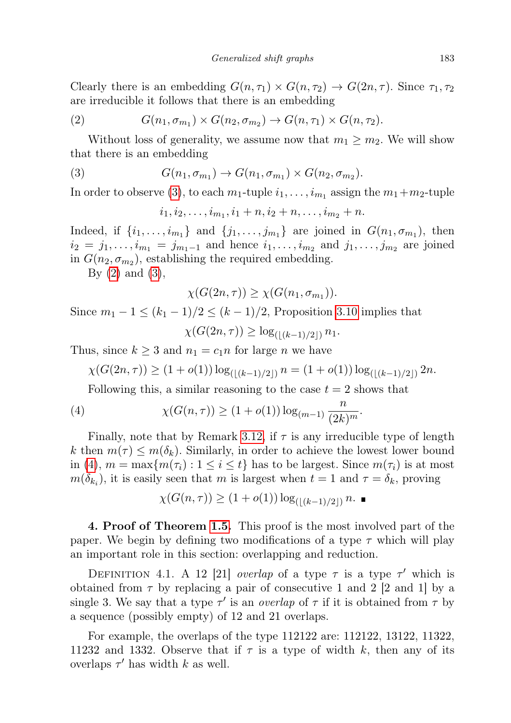Clearly there is an embedding  $G(n, \tau_1) \times G(n, \tau_2) \rightarrow G(2n, \tau)$ . Since  $\tau_1, \tau_2$ are irreducible it follows that there is an embedding

<span id="page-10-1"></span>(2) 
$$
G(n_1, \sigma_{m_1}) \times G(n_2, \sigma_{m_2}) \to G(n, \tau_1) \times G(n, \tau_2).
$$

Without loss of generality, we assume now that  $m_1 \geq m_2$ . We will show that there is an embedding

(3) 
$$
G(n_1, \sigma_{m_1}) \rightarrow G(n_1, \sigma_{m_1}) \times G(n_2, \sigma_{m_2}).
$$

In order to observe [\(3\)](#page-10-0), to each  $m_1$ -tuple  $i_1, \ldots, i_{m_1}$  assign the  $m_1+m_2$ -tuple

<span id="page-10-0"></span> $i_1, i_2, \ldots, i_{m_1}, i_1 + n, i_2 + n, \ldots, i_{m_2} + n.$ 

Indeed, if  $\{i_1, \ldots, i_{m_1}\}\$ and  $\{j_1, \ldots, j_{m_1}\}\$ are joined in  $G(n_1, \sigma_{m_1})$ , then  $i_2 = j_1, \ldots, i_{m_1} = j_{m_1-1}$  and hence  $i_1, \ldots, i_{m_2}$  and  $j_1, \ldots, j_{m_2}$  are joined in  $G(n_2, \sigma_{m_2})$ , establishing the required embedding.

By  $(2)$  and  $(3)$ ,

$$
\chi(G(2n,\tau)) \geq \chi(G(n_1,\sigma_{m_1})).
$$

Since  $m_1 - 1 \le (k_1 - 1)/2 \le (k - 1)/2$ , Proposition [3.10](#page-7-1) implies that  $\chi(G(2n,\tau)) \geq \log_{(\frac{k-1}{2})} n_1.$ 

Thus, since  $k \geq 3$  and  $n_1 = c_1 n$  for large n we have

$$
\chi(G(2n,\tau)) \ge (1+o(1))\log_{(\lfloor (k-1)/2\rfloor)} n = (1+o(1))\log_{(\lfloor (k-1)/2\rfloor)} 2n.
$$

<span id="page-10-2"></span>Following this, a similar reasoning to the case  $t = 2$  shows that

(4) 
$$
\chi(G(n,\tau)) \ge (1+o(1)) \log_{(m-1)} \frac{n}{(2k)^m}.
$$

Finally, note that by Remark [3.12,](#page-8-1) if  $\tau$  is any irreducible type of length k then  $m(\tau) \leq m(\delta_k)$ . Similarly, in order to achieve the lowest lower bound in [\(4\)](#page-10-2),  $m = \max\{m(\tau_i): 1 \leq i \leq t\}$  has to be largest. Since  $m(\tau_i)$  is at most  $m(\delta_{k_i})$ , it is easily seen that m is largest when  $t = 1$  and  $\tau = \delta_k$ , proving

$$
\chi(G(n,\tau)) \ge (1 + o(1)) \log_{(|(k-1)/2|)} n.
$$

4. Proof of Theorem [1.5.](#page-1-0) This proof is the most involved part of the paper. We begin by defining two modifications of a type  $\tau$  which will play an important role in this section: overlapping and reduction.

<span id="page-10-3"></span>DEFINITION 4.1. A 12 [21] overlap of a type  $\tau$  is a type  $\tau'$  which is obtained from  $\tau$  by replacing a pair of consecutive 1 and 2 [2 and 1] by a single 3. We say that a type  $\tau'$  is an *overlap* of  $\tau$  if it is obtained from  $\tau$  by a sequence (possibly empty) of 12 and 21 overlaps.

<span id="page-10-4"></span>For example, the overlaps of the type 112122 are: 112122, 13122, 11322, 11232 and 1332. Observe that if  $\tau$  is a type of width k, then any of its overlaps  $\tau'$  has width k as well.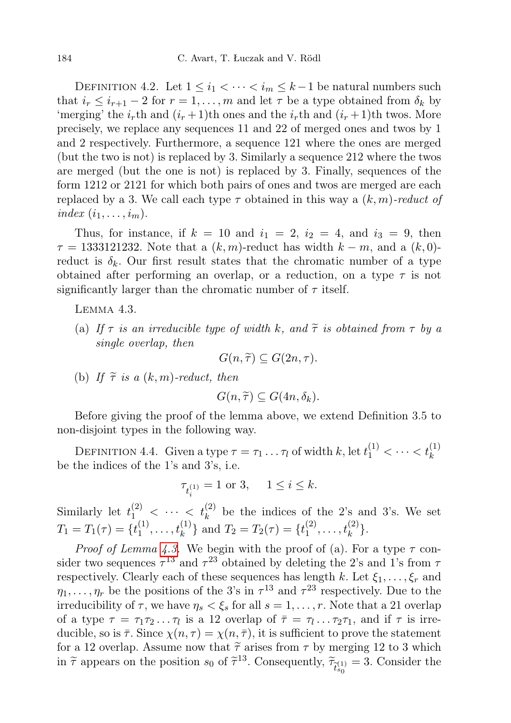DEFINITION 4.2. Let  $1 \leq i_1 < \cdots < i_m \leq k-1$  be natural numbers such that  $i_r \leq i_{r+1} - 2$  for  $r = 1, \ldots, m$  and let  $\tau$  be a type obtained from  $\delta_k$  by 'merging' the  $i_r$ th and  $(i_r + 1)$ th ones and the  $i_r$ th and  $(i_r + 1)$ th twos. More precisely, we replace any sequences 11 and 22 of merged ones and twos by 1 and 2 respectively. Furthermore, a sequence 121 where the ones are merged (but the two is not) is replaced by 3. Similarly a sequence 212 where the twos are merged (but the one is not) is replaced by 3. Finally, sequences of the form 1212 or 2121 for which both pairs of ones and twos are merged are each replaced by a 3. We call each type  $\tau$  obtained in this way a  $(k, m)$ -reduct of index  $(i_1, \ldots, i_m)$ .

Thus, for instance, if  $k = 10$  and  $i_1 = 2$ ,  $i_2 = 4$ , and  $i_3 = 9$ , then  $\tau = 1333121232$ . Note that a  $(k, m)$ -reduct has width  $k - m$ , and a  $(k, 0)$ reduct is  $\delta_k$ . Our first result states that the chromatic number of a type obtained after performing an overlap, or a reduction, on a type  $\tau$  is not significantly larger than the chromatic number of  $\tau$  itself.

<span id="page-11-0"></span>Lemma 4.3.

(a) If  $\tau$  is an irreducible type of width k, and  $\tilde{\tau}$  is obtained from  $\tau$  by a single overlap, then

$$
G(n,\widetilde{\tau})\subseteq G(2n,\tau).
$$

(b) If  $\tilde{\tau}$  is a  $(k, m)$ -reduct, then

$$
G(n,\widetilde{\tau})\subseteq G(4n,\delta_k).
$$

Before giving the proof of the lemma above, we extend Definition 3.5 to non-disjoint types in the following way.

DEFINITION 4.4. Given a type  $\tau = \tau_1 \dots \tau_l$  of width k, let  $t_1^{(1)} < \dots < t_k^{(1)}$ be the indices of the 1's and 3's, i.e.

$$
\tau_{t_i^{(1)}} = 1 \text{ or } 3, \quad 1 \le i \le k.
$$

Similarly let  $t_1^{(2)} < \cdots < t_k^{(2)}$  be the indices of the 2's and 3's. We set  $T_1 = T_1(\tau) = \{t_1^{(1)}\}$  $\{t_1^{(1)}, \ldots, t_k^{(1)}\}$  and  $T_2 = T_2(\tau) = \{t_1^{(2)}\}$  $t_1^{(2)}, \ldots, t_k^{(2)}\}.$ 

*Proof of Lemma [4.3.](#page-11-0)* We begin with the proof of (a). For a type  $\tau$  consider two sequences  $\tau^{13}$  and  $\tau^{23}$  obtained by deleting the 2's and 1's from  $\tau$ respectively. Clearly each of these sequences has length k. Let  $\xi_1, \ldots, \xi_r$  and  $\eta_1, \ldots, \eta_r$  be the positions of the 3's in  $\tau^{13}$  and  $\tau^{23}$  respectively. Due to the irreducibility of  $\tau$ , we have  $\eta_s < \xi_s$  for all  $s = 1, \ldots, r$ . Note that a 21 overlap of a type  $\tau = \tau_1 \tau_2 \dots \tau_l$  is a 12 overlap of  $\bar{\tau} = \tau_1 \dots \tau_2 \tau_1$ , and if  $\tau$  is irreducible, so is  $\bar{\tau}$ . Since  $\chi(n,\tau) = \chi(n,\bar{\tau})$ , it is sufficient to prove the statement for a 12 overlap. Assume now that  $\tilde{\tau}$  arises from  $\tau$  by merging 12 to 3 which<br>in  $\tilde{\tau}$  appears on the position  $\varepsilon_2$  of  $\tilde{\tau}^{13}$ . Consequently,  $\tilde{\tau} = -3$ . Consider the in  $\tilde{\tau}$  appears on the position  $s_0$  of  $\tilde{\tau}^{13}$ . Consequently,  $\tilde{\tau}_{\tilde{t}_{s_0}}^{(1)} = 3$ . Consider the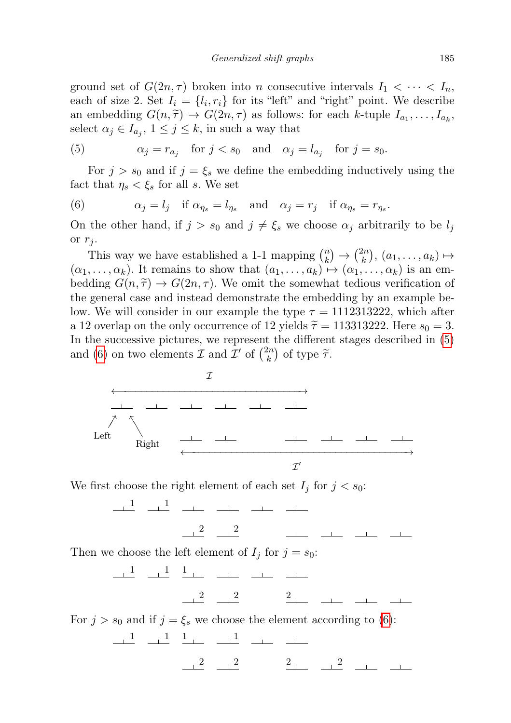ground set of  $G(2n, \tau)$  broken into n consecutive intervals  $I_1 < \cdots < I_n$ , each of size 2. Set  $I_i = \{l_i, r_i\}$  for its "left" and "right" point. We describe an embedding  $G(n, \tilde{\tau}) \to G(2n, \tau)$  as follows: for each k-tuple  $I_{a_1}, \ldots, I_{a_k}$ ,<br>soloct  $g \circ \tau I = 1 \leq i \leq k$  in such a way that select  $\alpha_j \in I_{a_j}, 1 \leq j \leq k$ , in such a way that

<span id="page-12-0"></span>(5) 
$$
\alpha_j = r_{a_j}
$$
 for  $j < s_0$  and  $\alpha_j = l_{a_j}$  for  $j = s_0$ .

For  $j > s_0$  and if  $j = \xi_s$  we define the embedding inductively using the fact that  $\eta_s < \xi_s$  for all s. We set

<span id="page-12-1"></span>(6) 
$$
\alpha_j = l_j
$$
 if  $\alpha_{\eta_s} = l_{\eta_s}$  and  $\alpha_j = r_j$  if  $\alpha_{\eta_s} = r_{\eta_s}$ .

On the other hand, if  $j > s_0$  and  $j \neq \xi_s$  we choose  $\alpha_j$  arbitrarily to be  $l_j$ or  $r_i$ .

This way we have established a 1-1 mapping  $\binom{n}{k}$  $\binom{n}{k} \rightarrow \binom{2n}{k}$  $\binom{2n}{k}, (a_1, \ldots, a_k) \mapsto$  $(\alpha_1, \ldots, \alpha_k)$ . It remains to show that  $(a_1, \ldots, a_k) \mapsto (\alpha_1, \ldots, \alpha_k)$  is an embedding  $G(n, \tilde{\tau}) \to G(2n, \tau)$ . We omit the somewhat tedious verification of the general case and instead demonstrate the embedding by an example below. We will consider in our example the type  $\tau = 1112313222$ , which after a 12 overlap on the only occurrence of 12 yields  $\tilde{\tau} = 113313222$ . Here  $s_0 = 3$ . In the successive pictures, we represent the different stages described in [\(5\)](#page-12-0) and [\(6\)](#page-12-1) on two elements  $\mathcal I$  and  $\mathcal I'$  of  $\binom{2n}{k}$  $\binom{2n}{k}$  of type  $\widetilde{\tau}$ .



We first choose the right element of each set  $I_j$  for  $j < s_0$ :

1 1

2 2

Then we choose the left element of  $I_i$  for  $j = s_0$ :

1 1 1 2 2 2

For  $j > s_0$  and if  $j = \xi_s$  we choose the element according to [\(6\)](#page-12-1):

1 1 1 1 2 2 2 2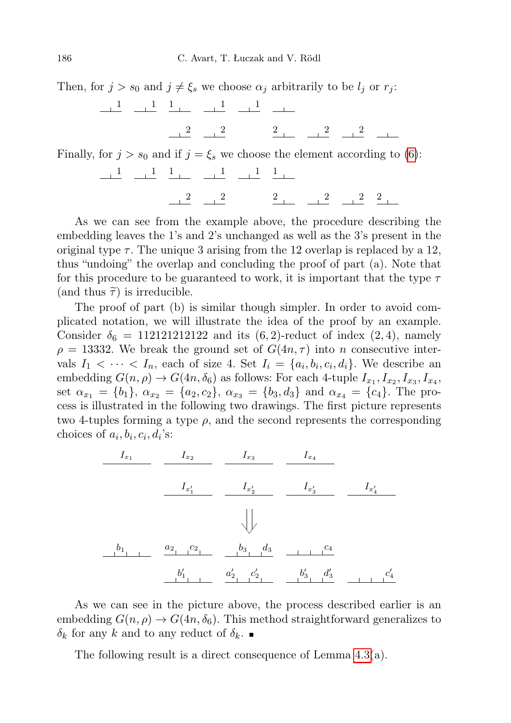Then, for  $j > s_0$  and  $j \neq \xi_s$  we choose  $\alpha_j$  arbitrarily to be  $l_j$  or  $r_j$ :

1 1 1 1 1  $\frac{2}{2}$   $\frac{2}{2}$   $\frac{2}{2}$   $\frac{2}{2}$ Finally, for  $j > s_0$  and if  $j = \xi_s$  we choose the element according to [\(6\)](#page-12-1): 1 1 1 1 1 1

2 2 2 2 2 2

As we can see from the example above, the procedure describing the embedding leaves the 1's and 2's unchanged as well as the 3's present in the original type  $\tau$ . The unique 3 arising from the 12 overlap is replaced by a 12, thus "undoing" the overlap and concluding the proof of part (a). Note that for this procedure to be guaranteed to work, it is important that the type  $\tau$ (and thus  $\tilde{\tau}$ ) is irreducible.

The proof of part (b) is similar though simpler. In order to avoid complicated notation, we will illustrate the idea of the proof by an example. Consider  $\delta_6 = 112121212122$  and its  $(6, 2)$ -reduct of index  $(2, 4)$ , namely  $\rho = 13332$ . We break the ground set of  $G(4n, \tau)$  into n consecutive intervals  $I_1 < \cdots < I_n$ , each of size 4. Set  $I_i = \{a_i, b_i, c_i, d_i\}$ . We describe an embedding  $G(n, \rho) \to G(4n, \delta_6)$  as follows: For each 4-tuple  $I_{x_1}, I_{x_2}, I_{x_3}, I_{x_4}$ , set  $\alpha_{x_1} = \{b_1\}, \ \alpha_{x_2} = \{a_2, c_2\}, \ \alpha_{x_3} = \{b_3, d_3\}$  and  $\alpha_{x_4} = \{c_4\}.$  The process is illustrated in the following two drawings. The first picture represents two 4-tuples forming a type  $\rho$ , and the second represents the corresponding choices of  $a_i, b_i, c_i, d_i$ 's:

$$
\begin{array}{c|c|c}\nI_{x_1} & I_{x_2} & I_{x_3} & I_{x_4} \\
\hline\nI_{x'_1} & I_{x'_2} & I_{x'_3} & I_{x'_4} \\
\hline\n\end{array}
$$

As we can see in the picture above, the process described earlier is an embedding  $G(n, \rho) \to G(4n, \delta_6)$ . This method straightforward generalizes to  $\delta_k$  for any k and to any reduct of  $\delta_k$ .

<span id="page-13-0"></span>The following result is a direct consequence of Lemma [4.3\(](#page-11-0)a).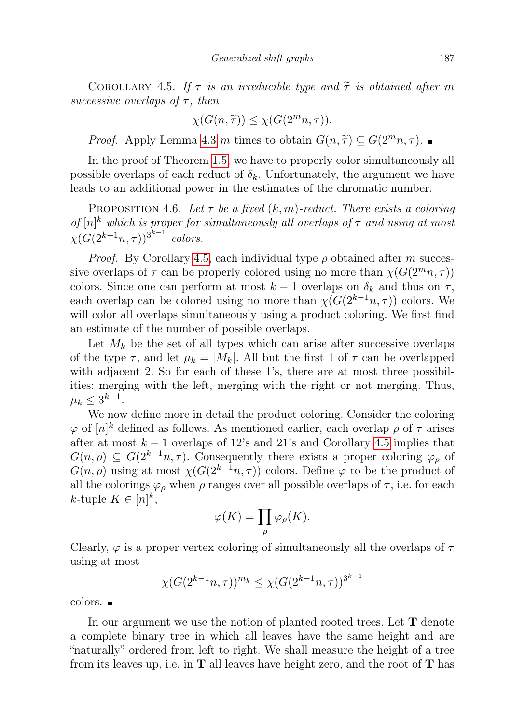COROLLARY 4.5. If  $\tau$  is an irreducible type and  $\tilde{\tau}$  is obtained after m successive overlaps of  $\tau$ , then

$$
\chi(G(n,\widetilde{\tau})) \le \chi(G(2^m n, \tau)).
$$

*Proof.* Apply Lemma [4.3](#page-11-0) m times to obtain  $G(n, \tilde{\tau}) \subseteq G(2^m n, \tau)$ .

In the proof of Theorem [1.5,](#page-1-0) we have to properly color simultaneously all possible overlaps of each reduct of  $\delta_k$ . Unfortunately, the argument we have leads to an additional power in the estimates of the chromatic number.

<span id="page-14-0"></span>PROPOSITION 4.6. Let  $\tau$  be a fixed  $(k, m)$ -reduct. There exists a coloring of  $[n]^k$  which is proper for simultaneously all overlaps of  $\tau$  and using at most  $\chi(G(2^{k-1}n,\tau))^{3^{k-1}}$  colors.

*Proof.* By Corollary [4.5,](#page-13-0) each individual type  $\rho$  obtained after m successive overlaps of  $\tau$  can be properly colored using no more than  $\chi(G(2^mn,\tau))$ colors. Since one can perform at most  $k-1$  overlaps on  $\delta_k$  and thus on  $\tau$ , each overlap can be colored using no more than  $\chi(G(2^{k-1}n, \tau))$  colors. We will color all overlaps simultaneously using a product coloring. We first find an estimate of the number of possible overlaps.

Let  $M_k$  be the set of all types which can arise after successive overlaps of the type  $\tau$ , and let  $\mu_k = |M_k|$ . All but the first 1 of  $\tau$  can be overlapped with adjacent 2. So for each of these 1's, there are at most three possibilities: merging with the left, merging with the right or not merging. Thus,  $\mu_k \leq 3^{k-1}$ .

We now define more in detail the product coloring. Consider the coloring  $\varphi$  of  $[n]^k$  defined as follows. As mentioned earlier, each overlap  $\rho$  of  $\tau$  arises after at most  $k - 1$  overlaps of 12's and 21's and Corollary [4.5](#page-13-0) implies that  $G(n, \rho) \subseteq G(2^{k-1}n, \tau)$ . Consequently there exists a proper coloring  $\varphi_{\rho}$  of  $G(n, \rho)$  using at most  $\chi(G(2^{k-1}n, \tau))$  colors. Define  $\varphi$  to be the product of all the colorings  $\varphi_{\rho}$  when  $\rho$  ranges over all possible overlaps of  $\tau$ , i.e. for each k-tuple  $K \in [n]^k$ ,

$$
\varphi(K) = \prod_{\rho} \varphi_{\rho}(K).
$$

Clearly,  $\varphi$  is a proper vertex coloring of simultaneously all the overlaps of  $\tau$ using at most

$$
\chi(G(2^{k-1}n,\tau))^{m_k} \le \chi(G(2^{k-1}n,\tau))^{3^{k-1}}
$$

colors.

In our argument we use the notion of planted rooted trees. Let T denote a complete binary tree in which all leaves have the same height and are "naturally" ordered from left to right. We shall measure the height of a tree from its leaves up, i.e. in  $T$  all leaves have height zero, and the root of  $T$  has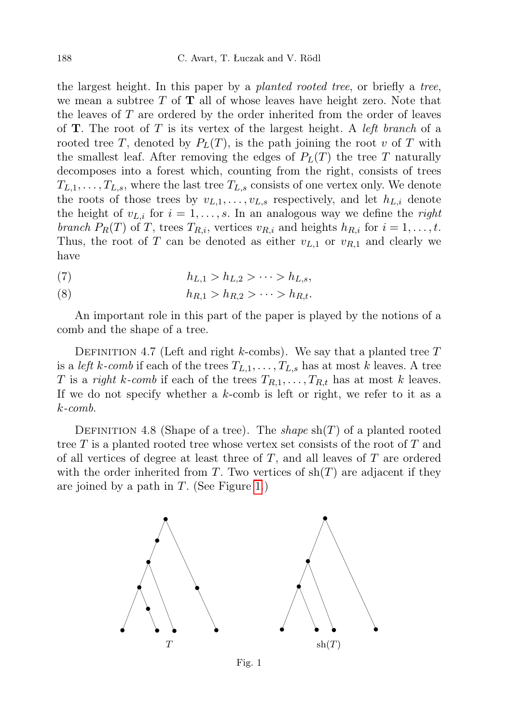the largest height. In this paper by a planted rooted tree, or briefly a tree, we mean a subtree  $T$  of  $T$  all of whose leaves have height zero. Note that the leaves of  $T$  are ordered by the order inherited from the order of leaves of **T**. The root of T is its vertex of the largest height. A *left branch* of a rooted tree T, denoted by  $P<sub>L</sub>(T)$ , is the path joining the root v of T with the smallest leaf. After removing the edges of  $P<sub>L</sub>(T)$  the tree T naturally decomposes into a forest which, counting from the right, consists of trees  $T_{L,1}, \ldots, T_{L,s}$ , where the last tree  $T_{L,s}$  consists of one vertex only. We denote the roots of those trees by  $v_{L,1}, \ldots, v_{L,s}$  respectively, and let  $h_{L,i}$  denote the height of  $v_{L,i}$  for  $i = 1, \ldots, s$ . In an analogous way we define the *right* branch  $P_R(T)$  of T, trees  $T_{R,i}$ , vertices  $v_{R,i}$  and heights  $h_{R,i}$  for  $i = 1, \ldots, t$ . Thus, the root of T can be denoted as either  $v_{L,1}$  or  $v_{R,1}$  and clearly we have

(7) 
$$
h_{L,1} > h_{L,2} > \cdots > h_{L,s},
$$

<span id="page-15-1"></span>(8) 
$$
h_{R,1} > h_{R,2} > \cdots > h_{R,t}.
$$

An important role in this part of the paper is played by the notions of a comb and the shape of a tree.

DEFINITION 4.7 (Left and right k-combs). We say that a planted tree  $T$ is a *left k-comb* if each of the trees  $T_{L,1}, \ldots, T_{L,s}$  has at most k leaves. A tree T is a right k-comb if each of the trees  $T_{R,1}, \ldots, T_{R,t}$  has at most k leaves. If we do not specify whether a  $k$ -comb is left or right, we refer to it as a k-comb.

DEFINITION 4.8 (Shape of a tree). The *shape*  $\text{sh}(T)$  of a planted rooted tree  $T$  is a planted rooted tree whose vertex set consists of the root of  $T$  and of all vertices of degree at least three of  $T$ , and all leaves of  $T$  are ordered with the order inherited from T. Two vertices of  $\text{sh}(T)$  are adjacent if they are joined by a path in  $T$ . (See Figure [1.](#page-15-0))

<span id="page-15-0"></span>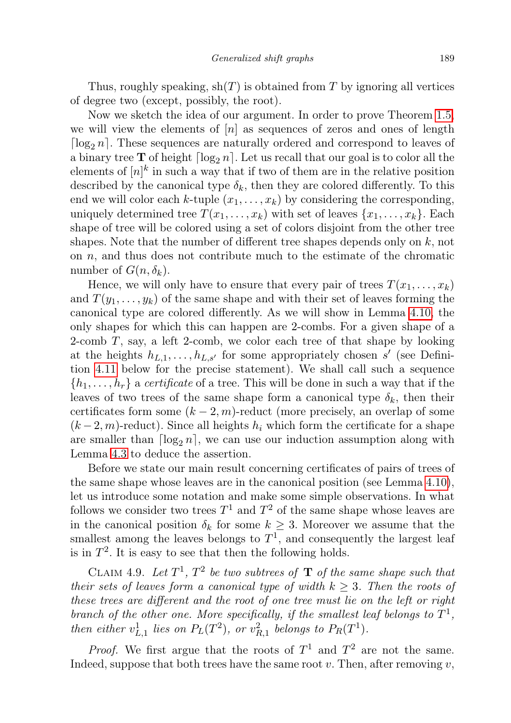Thus, roughly speaking,  $\text{sh}(T)$  is obtained from T by ignoring all vertices of degree two (except, possibly, the root).

Now we sketch the idea of our argument. In order to prove Theorem [1.5,](#page-1-0) we will view the elements of  $[n]$  as sequences of zeros and ones of length  $\lceil \log_2 n \rceil$ . These sequences are naturally ordered and correspond to leaves of a binary tree **T** of height  $\lceil \log_2 n \rceil$ . Let us recall that our goal is to color all the elements of  $[n]^k$  in such a way that if two of them are in the relative position described by the canonical type  $\delta_k$ , then they are colored differently. To this end we will color each k-tuple  $(x_1, \ldots, x_k)$  by considering the corresponding, uniquely determined tree  $T(x_1, \ldots, x_k)$  with set of leaves  $\{x_1, \ldots, x_k\}$ . Each shape of tree will be colored using a set of colors disjoint from the other tree shapes. Note that the number of different tree shapes depends only on  $k$ , not on  $n$ , and thus does not contribute much to the estimate of the chromatic number of  $G(n, \delta_k)$ .

Hence, we will only have to ensure that every pair of trees  $T(x_1, \ldots, x_k)$ and  $T(y_1, \ldots, y_k)$  of the same shape and with their set of leaves forming the canonical type are colored differently. As we will show in Lemma [4.10,](#page-17-0) the only shapes for which this can happen are 2-combs. For a given shape of a 2-comb T, say, a left 2-comb, we color each tree of that shape by looking at the heights  $h_{L,1}, \ldots, h_{L,s'}$  for some appropriately chosen s' (see Definition [4.11](#page-18-0) below for the precise statement). We shall call such a sequence  $\{h_1, \ldots, h_r\}$  a certificate of a tree. This will be done in such a way that if the leaves of two trees of the same shape form a canonical type  $\delta_k$ , then their certificates form some  $(k-2, m)$ -reduct (more precisely, an overlap of some  $(k-2, m)$ -reduct). Since all heights  $h_i$  which form the certificate for a shape are smaller than  $\lceil \log_2 n \rceil$ , we can use our induction assumption along with Lemma [4.3](#page-11-0) to deduce the assertion.

Before we state our main result concerning certificates of pairs of trees of the same shape whose leaves are in the canonical position (see Lemma [4.10\)](#page-17-0), let us introduce some notation and make some simple observations. In what follows we consider two trees  $T^1$  and  $T^2$  of the same shape whose leaves are in the canonical position  $\delta_k$  for some  $k \geq 3$ . Moreover we assume that the smallest among the leaves belongs to  $T<sup>1</sup>$ , and consequently the largest leaf is in  $T^2$ . It is easy to see that then the following holds.

CLAIM 4.9. Let  $T^1$ ,  $T^2$  be two subtrees of **T** of the same shape such that their sets of leaves form a canonical type of width  $k \geq 3$ . Then the roots of these trees are different and the root of one tree must lie on the left or right branch of the other one. More specifically, if the smallest leaf belongs to  $T^1$ , then either  $v_{L,1}^1$  lies on  $P_L(T^2)$ , or  $v_{R,1}^2$  belongs to  $P_R(T^1)$ .

*Proof.* We first argue that the roots of  $T^1$  and  $T^2$  are not the same. Indeed, suppose that both trees have the same root  $v$ . Then, after removing  $v$ ,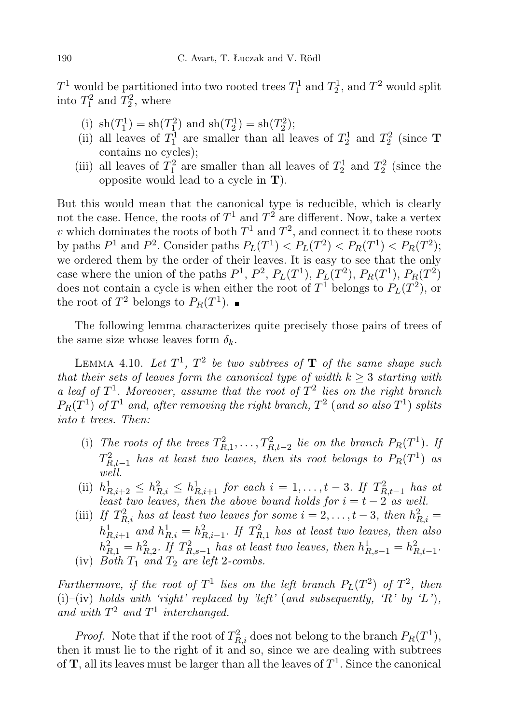$T^1$  would be partitioned into two rooted trees  $T_1^1$  and  $T_2^1$ , and  $T^2$  would split into  $T_1^2$  and  $T_2^2$ , where

- (i)  $\operatorname{sh}(T_1^1) = \operatorname{sh}(T_1^2)$  and  $\operatorname{sh}(T_2^1) = \operatorname{sh}(T_2^2)$ ;
- (ii) all leaves of  $T_1^1$  are smaller than all leaves of  $T_2^1$  and  $T_2^2$  (since **T** contains no cycles);
- (iii) all leaves of  $T_1^2$  are smaller than all leaves of  $T_2^1$  and  $T_2^2$  (since the opposite would lead to a cycle in T).

But this would mean that the canonical type is reducible, which is clearly not the case. Hence, the roots of  $T^1$  and  $T^2$  are different. Now, take a vertex v which dominates the roots of both  $T^1$  and  $T^2$ , and connect it to these roots by paths  $P^1$  and  $P^2$ . Consider paths  $P_L(T^1) < P_L(T^2) < P_R(T^1) < P_R(T^2)$ ; we ordered them by the order of their leaves. It is easy to see that the only case where the union of the paths  $P^1$ ,  $P^2$ ,  $P_L(T^1)$ ,  $P_L(T^2)$ ,  $P_R(T^1)$ ,  $P_R(T^2)$ does not contain a cycle is when either the root of  $T^1$  belongs to  $P_L(T^2)$ , or the root of  $T^2$  belongs to  $P_R(T^1)$ .

The following lemma characterizes quite precisely those pairs of trees of the same size whose leaves form  $\delta_k$ .

<span id="page-17-0"></span>LEMMA 4.10. Let  $T^1$ ,  $T^2$  be two subtrees of **T** of the same shape such that their sets of leaves form the canonical type of width  $k > 3$  starting with a leaf of  $T^1$ . Moreover, assume that the root of  $T^2$  lies on the right branch  $P_R(T^1)$  of  $T^1$  and, after removing the right branch,  $T^2$  (and so also  $T^1$ ) splits into t trees. Then:

- (i) The roots of the trees  $T_{R,1}^2, \ldots, T_{R,t-2}^2$  lie on the branch  $P_R(T^1)$ . If  $T^2_{R,t-1}$  has at least two leaves, then its root belongs to  $P_R(T^1)$  as well.
- (ii)  $h_{R,i+2}^1 \leq h_{R,i}^2 \leq h_{R,i+1}^1$  for each  $i = 1, ..., t-3$ . If  $T_{R,t-1}^2$  has at least two leaves, then the above bound holds for  $i = t - 2$  as well.
- (iii) If  $T_{R,i}^2$  has at least two leaves for some  $i = 2, \ldots, t-3$ , then  $h_{R,i}^2 =$  $h_{R,i+1}^1$  and  $h_{R,i}^1 = h_{R,i-1}^2$ . If  $T_{R,1}^2$  has at least two leaves, then also  $h_{R,1}^2 = h_{R,2}^2$ . If  $T_{R,s-1}^2$  has at least two leaves, then  $h_{R,s-1}^1 = h_{R,t-1}^2$ . (iv) Both  $T_1$  and  $T_2$  are left 2-combs.

Furthermore, if the root of  $T^1$  lies on the left branch  $P_L(T^2)$  of  $T^2$ , then (i)–(iv) holds with 'right' replaced by 'left' (and subsequently, 'R' by 'L'), and with  $T^2$  and  $T^1$  interchanged.

*Proof.* Note that if the root of  $T_{R,i}^2$  does not belong to the branch  $P_R(T^1)$ , then it must lie to the right of it and so, since we are dealing with subtrees of  $\mathbf{T}$ , all its leaves must be larger than all the leaves of  $T^1$ . Since the canonical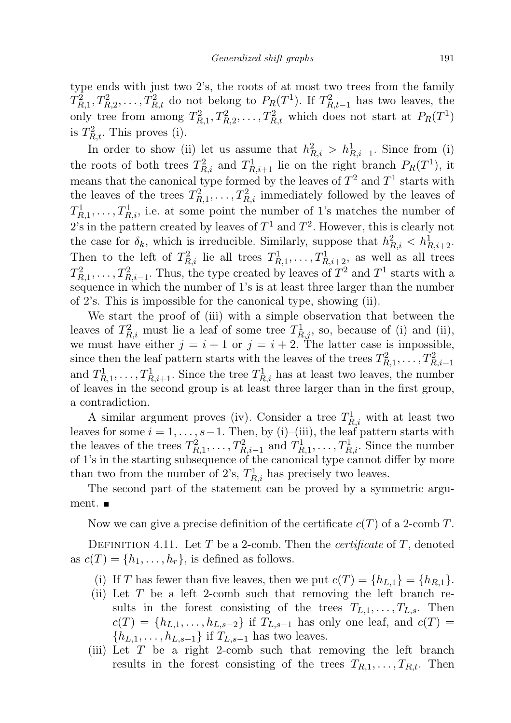type ends with just two 2's, the roots of at most two trees from the family  $T_{R,1}^2, T_{R,2}^2, \ldots, T_{R,t}^2$  do not belong to  $P_R(T^1)$ . If  $T_{R,t-1}^2$  has two leaves, the only tree from among  $T_{R,1}^2, T_{R,2}^2, \ldots, T_{R,t}^2$  which does not start at  $P_R(T^1)$ is  $T_{R,t}^2$ . This proves (i).

In order to show (ii) let us assume that  $h_{R,i}^2 > h_{R,i+1}^1$ . Since from (i) the roots of both trees  $T_{R,i}^2$  and  $T_{R,i+1}^1$  lie on the right branch  $P_R(T^1)$ , it means that the canonical type formed by the leaves of  $T^2$  and  $T^1$  starts with the leaves of the trees  $T_{R,1}^2, \ldots, T_{R,i}^2$  immediately followed by the leaves of  $T_{R,1}^1, \ldots, T_{R,i}^1$ , i.e. at some point the number of 1's matches the number of 2's in the pattern created by leaves of  $T^1$  and  $T^2$ . However, this is clearly not the case for  $\delta_k$ , which is irreducible. Similarly, suppose that  $h_{R,i}^2 < h_{R,i+2}^1$ . Then to the left of  $T_{R,i}^2$  lie all trees  $T_{R,1}^1, \ldots, T_{R,i+2}^1$ , as well as all trees  $T_{R,1}^2, \ldots, T_{R,i-1}^2$ . Thus, the type created by leaves of  $T^2$  and  $T^1$  starts with a sequence in which the number of 1's is at least three larger than the number of 2's. This is impossible for the canonical type, showing (ii).

We start the proof of (iii) with a simple observation that between the leaves of  $T_{R,i}^2$  must lie a leaf of some tree  $T_{R,j}^1$ , so, because of (i) and (ii), we must have either  $j = i + 1$  or  $j = i + 2$ . The latter case is impossible, since then the leaf pattern starts with the leaves of the trees  $T_{R,1}^2, \ldots, T_{R,i-1}^2$ and  $T_{R,1}^1, \ldots, T_{R,i+1}^1$ . Since the tree  $T_{R,i}^1$  has at least two leaves, the number of leaves in the second group is at least three larger than in the first group, a contradiction.

A similar argument proves (iv). Consider a tree  $T_{R,i}^1$  with at least two leaves for some  $i = 1, \ldots, s-1$ . Then, by (i)–(iii), the leaf pattern starts with the leaves of the trees  $T_{R,1}^2, \ldots, T_{R,i-1}^2$  and  $T_{R,1}^1, \ldots, T_{R,i}^1$ . Since the number of 1's in the starting subsequence of the canonical type cannot differ by more than two from the number of 2's,  $T_{R,i}^1$  has precisely two leaves.

The second part of the statement can be proved by a symmetric argument.  $\blacksquare$ 

Now we can give a precise definition of the certificate  $c(T)$  of a 2-comb T.

<span id="page-18-0"></span>DEFINITION 4.11. Let T be a 2-comb. Then the *certificate* of T, denoted as  $c(T) = \{h_1, \ldots, h_r\}$ , is defined as follows.

- (i) If T has fewer than five leaves, then we put  $c(T) = \{h_{L,1}\} = \{h_{R,1}\}.$
- (ii) Let  $T$  be a left 2-comb such that removing the left branch results in the forest consisting of the trees  $T_{L,1}, \ldots, T_{L,s}$ . Then  $c(T) = \{h_{L,1}, \ldots, h_{L,s-2}\}\$ if  $T_{L,s-1}$  has only one leaf, and  $c(T)$  =  ${h_{L,1}, \ldots, h_{L,s-1}}$  if  $T_{L,s-1}$  has two leaves.
- (iii) Let  $T$  be a right 2-comb such that removing the left branch results in the forest consisting of the trees  $T_{R,1}, \ldots, T_{R,t}$ . Then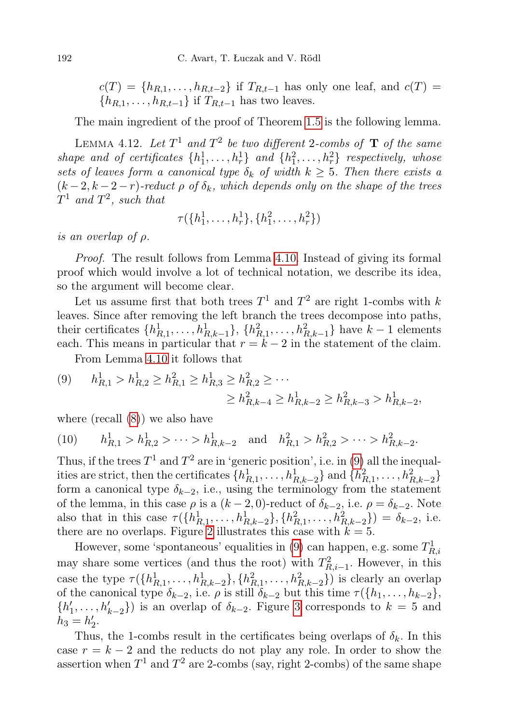$c(T) = \{h_{R,1}, \ldots, h_{R,t-2}\}\$ if  $T_{R,t-1}$  has only one leaf, and  $c(T)$  =  ${h_{R,1}, \ldots, h_{R,t-1}}$  if  $T_{R,t-1}$  has two leaves.

The main ingredient of the proof of Theorem [1.5](#page-1-0) is the following lemma.

<span id="page-19-1"></span>LEMMA 4.12. Let  $T^1$  and  $T^2$  be two different 2-combs of  $\bf{T}$  of the same shape and of certificates  $\{h_1^1, \ldots, h_r^1\}$  and  $\{h_1^2, \ldots, h_r^2\}$  respectively, whose sets of leaves form a canonical type  $\delta_k$  of width  $k \geq 5$ . Then there exists a  $(k-2, k-2-r)$ -reduct  $\rho$  of  $\delta_k$ , which depends only on the shape of the trees  $T^1$  and  $T^2$ , such that

$$
\tau(\lbrace h_1^1, \ldots, h_r^1 \rbrace, \lbrace h_1^2, \ldots, h_r^2 \rbrace)
$$

is an overlap of ρ.

Proof. The result follows from Lemma [4.10.](#page-17-0) Instead of giving its formal proof which would involve a lot of technical notation, we describe its idea, so the argument will become clear.

Let us assume first that both trees  $T^1$  and  $T^2$  are right 1-combs with k leaves. Since after removing the left branch the trees decompose into paths, their certificates  $\{h_{R,1}^1, \ldots, h_{R,k-1}^1\}$ ,  $\{h_{R,1}^2, \ldots, h_{R,k-1}^2\}$  have  $k-1$  elements each. This means in particular that  $r = k - 2$  in the statement of the claim.

From Lemma [4.10](#page-17-0) it follows that

<span id="page-19-0"></span>
$$
(9) \qquad h_{R,1}^1 > h_{R,2}^1 \ge h_{R,1}^2 \ge h_{R,3}^2 \ge h_{R,2}^2 \ge \cdots
$$

$$
\ge h_{R,k-4}^2 \ge h_{R,k-2}^1 \ge h_{R,k-3}^2 > h_{R,k-2}^1,
$$

where (recall [\(8\)](#page-15-1)) we also have

$$
(10) \qquad h_{R,1}^1 > h_{R,2}^1 > \dots > h_{R,k-2}^1 \quad \text{and} \quad h_{R,1}^2 > h_{R,2}^2 > \dots > h_{R,k-2}^2.
$$

Thus, if the trees  $T^1$  and  $T^2$  are in 'generic position', i.e. in [\(9\)](#page-19-0) all the inequalities are strict, then the certificates  $\{h_{R,1}^1, \ldots, h_{R,k-2}^1\}$  and  $\{h_{R,1}^2, \ldots, h_{R,k-2}^2\}$ form a canonical type  $\delta_{k-2}$ , i.e., using the terminology from the statement of the lemma, in this case  $\rho$  is a  $(k-2, 0)$ -reduct of  $\delta_{k-2}$ , i.e.  $\rho = \delta_{k-2}$ . Note also that in this case  $\tau(\lbrace h_{R,1}^1, \ldots, h_{R,k-2}^1 \rbrace, \lbrace h_{R,1}^2, \ldots, h_{R,k-2}^2 \rbrace) = \delta_{k-2}$ , i.e. there are no overlaps. Figure [2](#page-20-0) illustrates this case with  $k = 5$ .

However, some 'spontaneous' equalities in [\(9\)](#page-19-0) can happen, e.g. some  $T_{R,i}^1$ may share some vertices (and thus the root) with  $T_{R,i-1}^2$ . However, in this case the type  $\tau(\{h_{R,1}^1, \ldots, h_{R,k-2}^1\}, \{h_{R,1}^2, \ldots, h_{R,k-2}^2\})$  is clearly an overlap of the canonical type  $\delta_{k-2}$ , i.e.  $\rho$  is still  $\delta_{k-2}$  but this time  $\tau({h_1, \ldots, h_{k-2}})$ ,  $\{h'_1, \ldots, h'_{k-2}\}\$  is an overlap of  $\delta_{k-2}$ . Figure [3](#page-20-1) corresponds to  $k = 5$  and  $h_3 = h'_2.$ 

Thus, the 1-combs result in the certificates being overlaps of  $\delta_k$ . In this case  $r = k - 2$  and the reducts do not play any role. In order to show the assertion when  $T^1$  and  $T^2$  are 2-combs (say, right 2-combs) of the same shape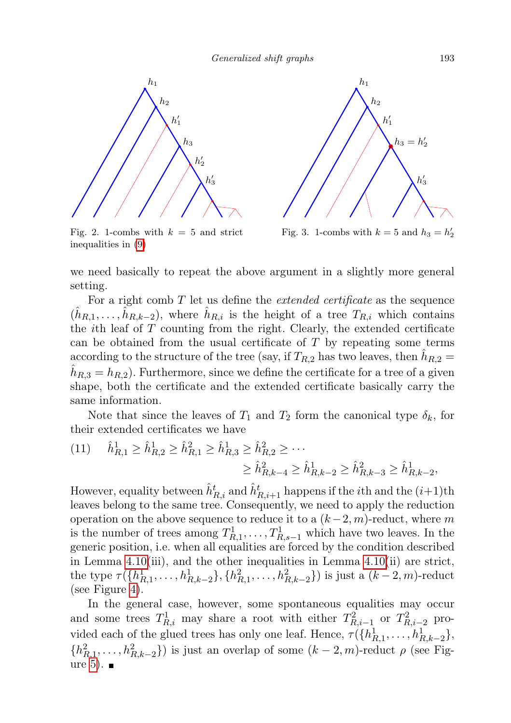

<span id="page-20-0"></span>Fig. 2. 1-combs with  $k = 5$  and strict inequalities in [\(9\)](#page-19-0)



<span id="page-20-1"></span>Fig. 3. 1-combs with  $k = 5$  and  $h_3 = h'_2$ 

we need basically to repeat the above argument in a slightly more general setting.

For a right comb  $T$  let us define the *extended certificate* as the sequence  $(\hat{h}_{R,1},\ldots,\hat{h}_{R,k-2}),$  where  $\hat{h}_{R,i}$  is the height of a tree  $T_{R,i}$  which contains the *i*th leaf of  $T$  counting from the right. Clearly, the extended certificate can be obtained from the usual certificate of  $T$  by repeating some terms according to the structure of the tree (say, if  $T_{R,2}$  has two leaves, then  $\hat{h}_{R,2} =$  $\hat{h}_{R,3} = h_{R,2}$ . Furthermore, since we define the certificate for a tree of a given shape, both the certificate and the extended certificate basically carry the same information.

Note that since the leaves of  $T_1$  and  $T_2$  form the canonical type  $\delta_k$ , for their extended certificates we have

$$
(11) \quad \hat{h}_{R,1}^1 \ge \hat{h}_{R,2}^1 \ge \hat{h}_{R,1}^2 \ge \hat{h}_{R,3}^1 \ge \hat{h}_{R,2}^2 \ge \cdots
$$

$$
\ge \hat{h}_{R,k-4}^2 \ge \hat{h}_{R,k-2}^1 \ge \hat{h}_{R,k-3}^2 \ge \hat{h}_{R,k-2}^1,
$$

However, equality between  $\hat{h}_{R,i}^{t}$  and  $\hat{h}_{R,i+1}^{t}$  happens if the *i*<sup>th</sup> and the  $(i+1)$ <sup>th</sup> leaves belong to the same tree. Consequently, we need to apply the reduction operation on the above sequence to reduce it to a  $(k-2, m)$ -reduct, where m is the number of trees among  $T_{R,1}^1, \ldots, T_{R,s-1}^1$  which have two leaves. In the generic position, i.e. when all equalities are forced by the condition described in Lemma [4.10\(](#page-17-0)iii), and the other inequalities in Lemma [4.10\(](#page-17-0)ii) are strict, the type  $\tau(\{h_{R,1}^1, \ldots, h_{R,k-2}^1\}, \{h_{R,1}^2, \ldots, h_{R,k-2}^2\})$  is just a  $(k-2, m)$ -reduct (see Figure [4\)](#page-21-0).

In the general case, however, some spontaneous equalities may occur and some trees  $T_{R,i}^1$  may share a root with either  $T_{R,i-1}^2$  or  $T_{R,i-2}^2$  provided each of the glued trees has only one leaf. Hence,  $\tau({h_{R,1}^1, \ldots, h_{R,k-2}^1},$  $\{h_{R,1}^2, \ldots, h_{R,k-2}^2\}$ ) is just an overlap of some  $(k-2,m)$ -reduct  $\rho$  (see Fig-ure [5\)](#page-21-1).  $\blacksquare$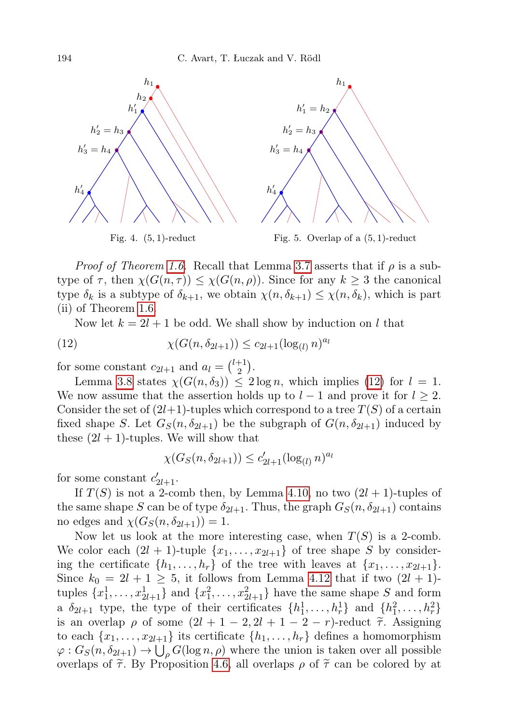

<span id="page-21-0"></span>*Proof of Theorem [1.6.](#page-2-1)* Recall that Lemma [3.7](#page-6-0) asserts that if  $\rho$  is a subtype of  $\tau$ , then  $\chi(G(n,\tau)) \leq \chi(G(n,\rho))$ . Since for any  $k \geq 3$  the canonical type  $\delta_k$  is a subtype of  $\delta_{k+1}$ , we obtain  $\chi(n, \delta_{k+1}) \leq \chi(n, \delta_k)$ , which is part (ii) of Theorem [1.6.](#page-2-1)

<span id="page-21-2"></span><span id="page-21-1"></span>Now let  $k = 2l + 1$  be odd. We shall show by induction on l that

(12) 
$$
\chi(G(n, \delta_{2l+1})) \le c_{2l+1} (\log_{(l)} n)^{a_l}
$$

for some constant  $c_{2l+1}$  and  $a_l = \binom{l+1}{2}$  $_{2}^{+1}).$ 

Lemma [3.8](#page-7-0) states  $\chi(G(n, \delta_3)) \leq 2 \log n$ , which implies [\(12\)](#page-21-2) for  $l = 1$ . We now assume that the assertion holds up to  $l-1$  and prove it for  $l \geq 2$ . Consider the set of  $(2l+1)$ -tuples which correspond to a tree  $T(S)$  of a certain fixed shape S. Let  $G_S(n, \delta_{2l+1})$  be the subgraph of  $G(n, \delta_{2l+1})$  induced by these  $(2l + 1)$ -tuples. We will show that

$$
\chi(G_S(n, \delta_{2l+1})) \le c'_{2l+1} (\log_{(l)} n)^{a_l}
$$

for some constant  $c'_{2l+1}$ .

If  $T(S)$  is not a 2-comb then, by Lemma [4.10,](#page-17-0) no two  $(2l + 1)$ -tuples of the same shape S can be of type  $\delta_{2l+1}$ . Thus, the graph  $G_S(n, \delta_{2l+1})$  contains no edges and  $\chi(G_S(n, \delta_{2l+1})) = 1$ .

Now let us look at the more interesting case, when  $T(S)$  is a 2-comb. We color each  $(2l + 1)$ -tuple  $\{x_1, \ldots, x_{2l+1}\}$  of tree shape S by considering the certificate  $\{h_1, \ldots, h_r\}$  of the tree with leaves at  $\{x_1, \ldots, x_{2l+1}\}.$ Since  $k_0 = 2l + 1 \geq 5$ , it follows from Lemma [4.12](#page-19-1) that if two  $(2l + 1)$ tuples  $\{x_1^1, \ldots, x_{2l+1}^1\}$  and  $\{x_1^2, \ldots, x_{2l+1}^2\}$  have the same shape S and form a  $\delta_{2l+1}$  type, the type of their certificates  $\{h_1^1, \ldots, h_r^1\}$  and  $\{h_1^2, \ldots, h_r^2\}$ is an overlap  $\rho$  of some  $(2l + 1 - 2, 2l + 1 - 2 - r)$ -reduct  $\tilde{\tau}$ . Assigning to each  $\{x_1, \ldots, x_{2l+1}\}\$ its certificate  $\{h_1, \ldots, h_r\}$  defines a homomorphism  $\varphi: G_S(n, \delta_{2l+1}) \to \bigcup_{\rho} G(\log n, \rho)$  where the union is taken over all possible overlaps of  $\tilde{\tau}$ . By Proposition [4.6,](#page-14-0) all overlaps  $\rho$  of  $\tilde{\tau}$  can be colored by at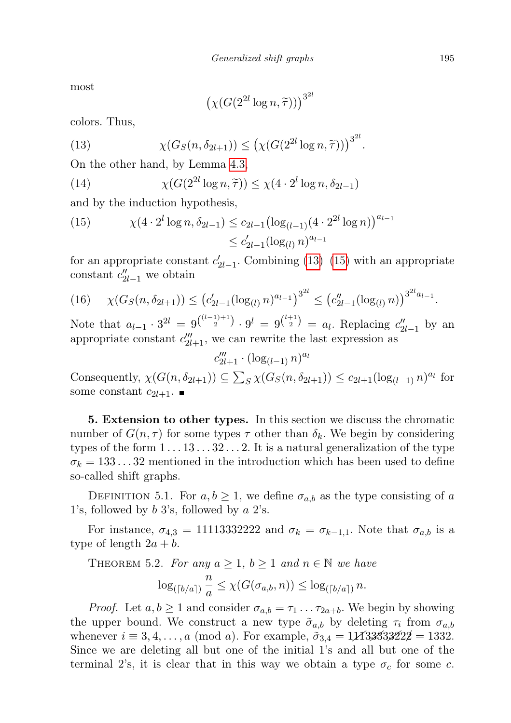most

<span id="page-22-0"></span>
$$
\left(\chi(G(2^{2l}\log n, \widetilde{\tau}))\right)^{3^{2l}}
$$

colors. Thus,

(13) 
$$
\chi(G_S(n, \delta_{2l+1})) \leq (\chi(G(2^{2l} \log n, \tilde{\tau})))^{3^{2l}}.
$$

On the other hand, by Lemma [4.3,](#page-11-0)

(14) 
$$
\chi(G(2^{2l}\log n, \tilde{\tau})) \leq \chi(4 \cdot 2^l \log n, \delta_{2l-1})
$$

and by the induction hypothesis,

<span id="page-22-1"></span>(15) 
$$
\chi(4 \cdot 2^{l} \log n, \delta_{2l-1}) \leq c_{2l-1} \left( \log_{(l-1)} (4 \cdot 2^{2l} \log n) \right)^{a_{l-1}} \leq c'_{2l-1} (\log_{(l)} n)^{a_{l-1}}
$$

for an appropriate constant  $c'_{2l-1}$ . Combining [\(13\)](#page-22-0)–[\(15\)](#page-22-1) with an appropriate constant  $c''_{2l-1}$  we obtain

$$
(16) \quad \chi(G_S(n, \delta_{2l+1})) \le (c'_{2l-1} (\log_{(l)} n)^{a_{l-1}})^{3^{2l}} \le (c''_{2l-1} (\log_{(l)} n))^{3^{2l} a_{l-1}}.
$$

Note that  $a_{l-1} \cdot 3^{2l} = 9^{(l-1)+1 \choose 2} \cdot 9^l = 9^{(l+1 \choose 2} = a_l$ . Replacing  $c''_{2l-1}$  by an appropriate constant  $c'''_{2l+1}$ , we can rewrite the last expression as

 $c'''_{2l+1} \cdot (\log_{(l-1)} n)^{a_l}$ 

Consequently,  $\chi(G(n, \delta_{2l+1})) \subseteq \sum_S \chi(G_S(n, \delta_{2l+1})) \le c_{2l+1}(\log_{(l-1)} n)^{a_l}$  for some constant  $c_{2l+1}$ .

5. Extension to other types. In this section we discuss the chromatic number of  $G(n, \tau)$  for some types  $\tau$  other than  $\delta_k$ . We begin by considering types of the form  $1 \dots 13 \dots 32 \dots 2$ . It is a natural generalization of the type  $\sigma_k = 133...32$  mentioned in the introduction which has been used to define so-called shift graphs.

DEFINITION 5.1. For  $a, b \ge 1$ , we define  $\sigma_{a,b}$  as the type consisting of a 1's, followed by b 3's, followed by a 2's.

For instance,  $\sigma_{4,3} = 11113332222$  and  $\sigma_k = \sigma_{k-1,1}$ . Note that  $\sigma_{a,b}$  is a type of length  $2a + b$ .

THEOREM 5.2. For any  $a \geq 1$ ,  $b \geq 1$  and  $n \in \mathbb{N}$  we have

$$
\log_{(\lceil b/a \rceil)} \frac{n}{a} \leq \chi(G(\sigma_{a,b}, n)) \leq \log_{(\lceil b/a \rceil)} n.
$$

*Proof.* Let  $a, b \ge 1$  and consider  $\sigma_{a,b} = \tau_1 \dots \tau_{2a+b}$ . We begin by showing the upper bound. We construct a new type  $\tilde{\sigma}_{a,b}$  by deleting  $\tau_i$  from  $\sigma_{a,b}$ whenever  $i \equiv 3, 4, ..., a \pmod{a}$ . For example,  $\tilde{\sigma}_{3,4} = 1/13/33/322/2 = 1332$ . Since we are deleting all but one of the initial 1's and all but one of the terminal 2's, it is clear that in this way we obtain a type  $\sigma_c$  for some c.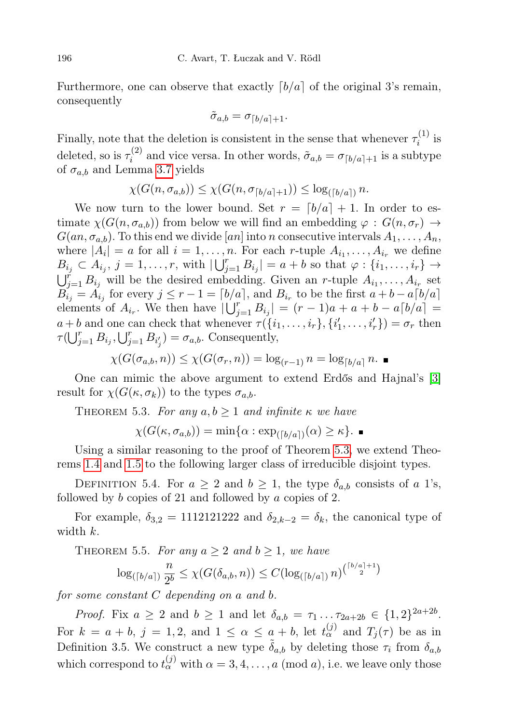Furthermore, one can observe that exactly  $\lceil b/a \rceil$  of the original 3's remain, consequently

$$
\tilde{\sigma}_{a,b} = \sigma_{\lceil b/a \rceil + 1}.
$$

Finally, note that the deletion is consistent in the sense that whenever  $\tau_i^{(1)}$  $i^{(1)}$  is deleted, so is  $\tau_i^{(2)}$  $\tilde{a}_i^{(2)}$  and vice versa. In other words,  $\tilde{\sigma}_{a,b} = \sigma_{\lceil b/a \rceil+1}$  is a subtype of  $\sigma_{a,b}$  and Lemma [3.7](#page-6-0) yields

$$
\chi(G(n, \sigma_{a,b})) \leq \chi(G(n, \sigma_{\lceil b/a \rceil+1})) \leq \log_{(\lceil b/a \rceil)} n.
$$

We now turn to the lower bound. Set  $r = \lfloor b/a \rfloor + 1$ . In order to estimate  $\chi(G(n, \sigma_{a,b}))$  from below we will find an embedding  $\varphi : G(n, \sigma_r) \to$  $G(an, \sigma_{a,b})$ . To this end we divide [an] into n consecutive intervals  $A_1, \ldots, A_n$ , where  $|A_i| = a$  for all  $i = 1, \ldots, n$ . For each r-tuple  $A_{i_1}, \ldots, A_{i_r}$  we define  $B_{i_j} \subset A_{i_j}, j = 1, \ldots, r$ , with  $\lfloor \bigcup_{j=1}^r B_{i_j} \rfloor = a + b$  so that  $\varphi : \{i_1, \ldots, i_r\} \to$  $\bigcup_{j=1}^r B_{i_j}$  will be the desired embedding. Given an r-tuple  $A_{i_1}, \ldots, A_{i_r}$  set  $B_{i_j} = A_{i_j}$  for every  $j \leq r - 1 = \lceil b/a \rceil$ , and  $B_{i_r}$  to be the first  $a + b - a \lceil b/a \rceil$ elements of  $A_{i_r}$ . We then have  $|\bigcup_{j=1}^r B_{i_j}| = (r-1)a + a + b - a\lceil b/a \rceil =$  $a+b$  and one can check that whenever  $\tau(\lbrace i_1,\ldots,i_r\rbrace,\lbrace i'_1,\ldots,i'_r\rbrace)=\sigma_r$  then  $\tau(\bigcup_{j=1}^r B_{i_j}, \bigcup_{j=1}^r B_{i'_j}) = \sigma_{a,b}$ . Consequently,

$$
\chi(G(\sigma_{a,b}, n)) \leq \chi(G(\sigma_r, n)) = \log_{(r-1)} n = \log_{\lceil b/a \rceil} n.
$$

One can mimic the above argument to extend Erdős and Hajnal's [\[3\]](#page-25-2) result for  $\chi(G(\kappa,\sigma_k))$  to the types  $\sigma_{a,b}$ .

<span id="page-23-0"></span>THEOREM 5.3. For any  $a, b \geq 1$  and infinite  $\kappa$  we have

 $\chi(G(\kappa,\sigma_{a,b})) = \min\{\alpha : \exp_{([b/a])}(\alpha) \geq \kappa\}.$ 

Using a similar reasoning to the proof of Theorem [5.3,](#page-23-0) we extend Theorems [1.4](#page-1-1) and [1.5](#page-1-0) to the following larger class of irreducible disjoint types.

DEFINITION 5.4. For  $a \geq 2$  and  $b \geq 1$ , the type  $\delta_{a,b}$  consists of a 1's, followed by  $b$  copies of 21 and followed by  $a$  copies of 2.

For example,  $\delta_{3,2} = 1112121222$  and  $\delta_{2,k-2} = \delta_k$ , the canonical type of width  $k$ .

THEOREM 5.5. For any  $a \geq 2$  and  $b \geq 1$ , we have

$$
\log_{(\lceil b/a \rceil)} \frac{n}{2^b} \leq \chi(G(\delta_{a,b}, n)) \leq C(\log_{(\lceil b/a \rceil)} n)^{\binom{\lceil b/a \rceil + 1}{2}}
$$

for some constant C depending on a and b.

*Proof.* Fix  $a \ge 2$  and  $b \ge 1$  and let  $\delta_{a,b} = \tau_1 \dots \tau_{2a+2b} \in \{1,2\}^{2a+2b}$ . For  $k = a + b$ ,  $j = 1, 2$ , and  $1 \leq \alpha \leq a + b$ , let  $t_{\alpha}^{(j)}$  and  $T_j(\tau)$  be as in Definition 3.5. We construct a new type  $\tilde{\delta}_{a,b}$  by deleting those  $\tau_i$  from  $\delta_{a,b}$ which correspond to  $t_{\alpha}^{(j)}$  with  $\alpha = 3, 4, ..., a \pmod{a}$ , i.e. we leave only those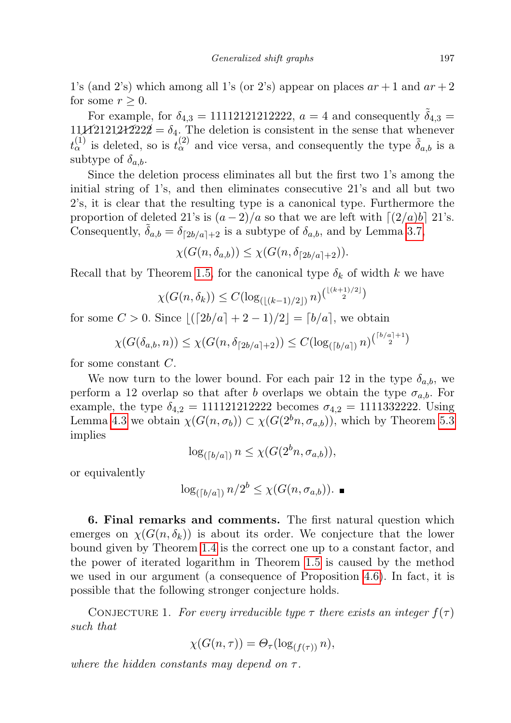1's (and 2's) which among all 1's (or 2's) appear on places  $ar + 1$  and  $ar + 2$ for some  $r > 0$ .

For example, for  $\delta_{4,3} = 11112121212222$ ,  $a = 4$  and consequently  $\tilde{\delta}_{4,3} =$  $111\cancel{11121212222} = \delta_4$ . The deletion is consistent in the sense that whenever  $t_{\alpha}^{(1)}$  is deleted, so is  $t_{\alpha}^{(2)}$  and vice versa, and consequently the type  $\tilde{\delta}_{a,b}$  is a subtype of  $\delta_{a,b}$ .

Since the deletion process eliminates all but the first two 1's among the initial string of 1's, and then eliminates consecutive 21's and all but two 2's, it is clear that the resulting type is a canonical type. Furthermore the proportion of deleted 21's is  $(a-2)/a$  so that we are left with  $\lceil (2/a)b \rceil$  21's. Consequently,  $\delta_{a,b} = \delta_{\lceil 2b/a \rceil+2}$  is a subtype of  $\delta_{a,b}$ , and by Lemma [3.7,](#page-6-0)

 $\chi(G(n, \delta_{a,b})) \leq \chi(G(n, \delta_{\lceil 2b/a \rceil+2})).$ 

Recall that by Theorem [1.5,](#page-1-0) for the canonical type  $\delta_k$  of width k we have

$$
\chi(G(n,\delta_k)) \le C(\log_{(\lfloor (k-1)/2 \rfloor)} n)^{\binom{\lfloor (k+1)/2 \rfloor}{2}}
$$

for some  $C > 0$ . Since  $|([2b/a] + 2 - 1)/2| = [b/a]$ , we obtain

$$
\chi(G(\delta_{a,b}, n)) \leq \chi(G(n, \delta_{\lceil 2b/a \rceil + 2})) \leq C(\log_{(\lceil b/a \rceil)} n)^{\binom{\lceil b/a \rceil + 1}{2}}
$$

for some constant C.

We now turn to the lower bound. For each pair 12 in the type  $\delta_{a,b}$ , we perform a 12 overlap so that after b overlaps we obtain the type  $\sigma_{a,b}$ . For example, the type  $\delta_{4,2} = 111121212222$  becomes  $\sigma_{4,2} = 1111332222$ . Using Lemma [4.3](#page-11-0) we obtain  $\chi(G(n, \sigma_b)) \subset \chi(G(2^b n, \sigma_{a,b}))$ , which by Theorem [5.3](#page-23-0) implies

$$
\log_{([b/a])} n \leq \chi(G(2^b n, \sigma_{a,b})),
$$

or equivalently

$$
\log_{([b/a])} n/2^b \leq \chi(G(n, \sigma_{a,b})).
$$

6. Final remarks and comments. The first natural question which emerges on  $\chi(G(n, \delta_k))$  is about its order. We conjecture that the lower bound given by Theorem [1.4](#page-1-1) is the correct one up to a constant factor, and the power of iterated logarithm in Theorem [1.5](#page-1-0) is caused by the method we used in our argument (a consequence of Proposition [4.6\)](#page-14-0). In fact, it is possible that the following stronger conjecture holds.

<span id="page-24-0"></span>CONJECTURE 1. For every irreducible type  $\tau$  there exists an integer  $f(\tau)$ such that

$$
\chi(G(n,\tau)) = \Theta_{\tau}(\log_{(f(\tau))} n),
$$

where the hidden constants may depend on  $\tau$ .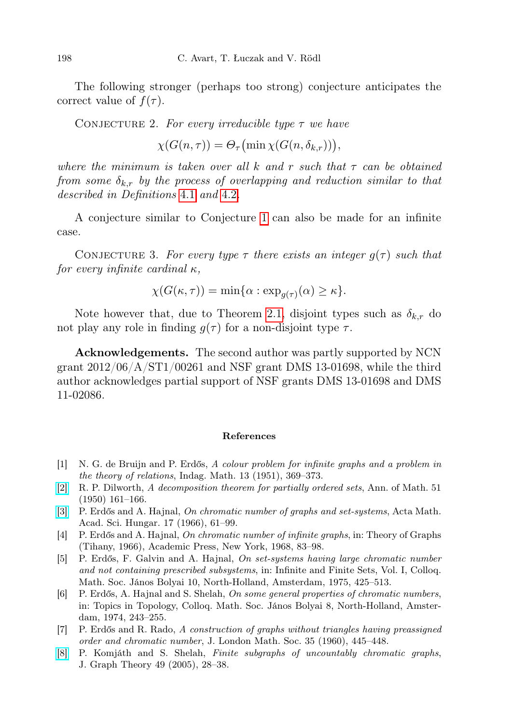The following stronger (perhaps too strong) conjecture anticipates the correct value of  $f(\tau)$ .

CONJECTURE 2. For every irreducible type  $\tau$  we have

 $\chi(G(n,\tau)) = \Theta_{\tau}(\min \chi(G(n,\delta_{k,r}))),$ 

where the minimum is taken over all k and r such that  $\tau$  can be obtained from some  $\delta_{k,r}$  by the process of overlapping and reduction similar to that described in Definitions [4.1](#page-10-3) and [4.2](#page-10-4).

A conjecture similar to Conjecture [1](#page-24-0) can also be made for an infinite case.

CONJECTURE 3. For every type  $\tau$  there exists an integer  $g(\tau)$  such that for every infinite cardinal  $\kappa$ ,

$$
\chi(G(\kappa,\tau)) = \min\{\alpha : \exp_{g(\tau)}(\alpha) \ge \kappa\}.
$$

Note however that, due to Theorem [2.1,](#page-2-0) disjoint types such as  $\delta_{k,r}$  do not play any role in finding  $q(\tau)$  for a non-disjoint type  $\tau$ .

Acknowledgements. The second author was partly supported by NCN grant  $2012/06/A/ST1/00261$  and NSF grant DMS 13-01698, while the third author acknowledges partial support of NSF grants DMS 13-01698 and DMS 11-02086.

## References

- <span id="page-25-3"></span>[1] N. G. de Bruijn and P. Erdős, A colour problem for infinite graphs and a problem in the theory of relations, Indag. Math. 13 (1951), 369–373.
- <span id="page-25-5"></span>[\[2\]](http://dx.doi.org/10.2307/1969503) R. P. Dilworth, A decomposition theorem for partially ordered sets, Ann. of Math. 51 (1950) 161–166.
- <span id="page-25-2"></span>[\[3\]](http://dx.doi.org/10.1007/BF02020444) P. Erdős and A. Hajnal, On chromatic number of graphs and set-systems, Acta Math. Acad. Sci. Hungar. 17 (1966), 61–99.
- <span id="page-25-1"></span>[4] P. Erdős and A. Hajnal, On chromatic number of infinite graphs, in: Theory of Graphs (Tihany, 1966), Academic Press, New York, 1968, 83–98.
- [5] P. Erdős, F. Galvin and A. Hajnal, On set-systems having large chromatic number and not containing prescribed subsystems, in: Infinite and Finite Sets, Vol. I, Colloq. Math. Soc. János Bolyai 10, North-Holland, Amsterdam, 1975, 425–513.
- [6] P. Erdős, A. Hajnal and S. Shelah, On some general properties of chromatic numbers, in: Topics in Topology, Colloq. Math. Soc. János Bolyai 8, North-Holland, Amsterdam, 1974, 243–255.
- <span id="page-25-0"></span>[7] P. Erdős and R. Rado, A construction of graphs without triangles having preassigned order and chromatic number, J. London Math. Soc. 35 (1960), 445–448.
- <span id="page-25-4"></span>[\[8\]](http://dx.doi.org/10.1002/jgt.20060) P. Komjáth and S. Shelah, Finite subgraphs of uncountably chromatic graphs, J. Graph Theory 49 (2005), 28–38.